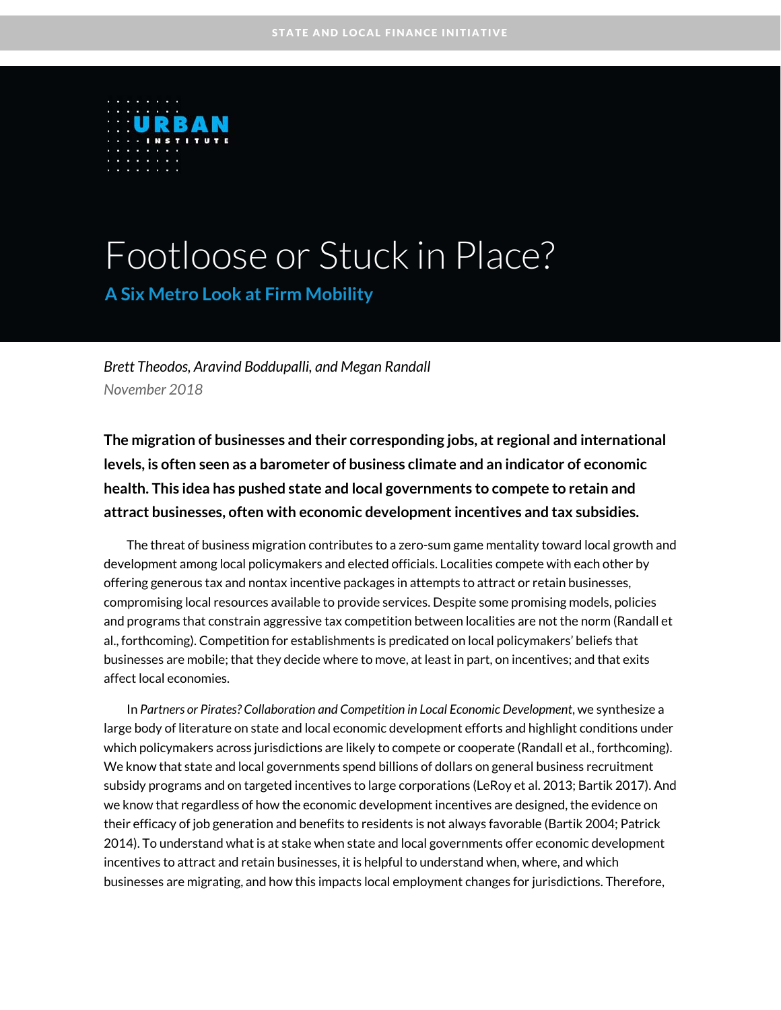

# Footloose or Stuck in Place?

**A Six Metro Look at Firm Mobility** 

*Brett Theodos, Aravind Boddupalli, and Megan Randall November 2018* 

**The migration of businesses and their corresponding jobs, at regional and international levels, is often seen as a barometer of business climate and an indicator of economic health. This idea has pushed state and local governments to compete to retain and attract businesses, often with economic development incentives and tax subsidies.** 

The threat of business migration contributes to a zero-sum game mentality toward local growth and development among local policymakers and elected officials. Localities compete with each other by offering generous tax and nontax incentive packages in attempts to attract or retain businesses, compromising local resources available to provide services. Despite some promising models, policies and programs that constrain aggressive tax competition between localities are not the norm (Randall et al., forthcoming). Competition for establishments is predicated on local policymakers' beliefs that businesses are mobile; that they decide where to move, at least in part, on incentives; and that exits affect local economies.

In *Partners or Pirates? Collaboration and Competition in Local Economic Development*, we synthesize a large body of literature on state and local economic development efforts and highlight conditions under which policymakers across jurisdictions are likely to compete or cooperate (Randall et al., forthcoming). We know that state and local governments spend billions of dollars on general business recruitment subsidy programs and on targeted incentives to large corporations (LeRoy et al. 2013; Bartik 2017). And we know that regardless of how the economic development incentives are designed, the evidence on their efficacy of job generation and benefits to residents is not always favorable (Bartik 2004; Patrick 2014). To understand what is at stake when state and local governments offer economic development incentives to attract and retain businesses, it is helpful to understand when, where, and which businesses are migrating, and how this impacts local employment changes for jurisdictions. Therefore,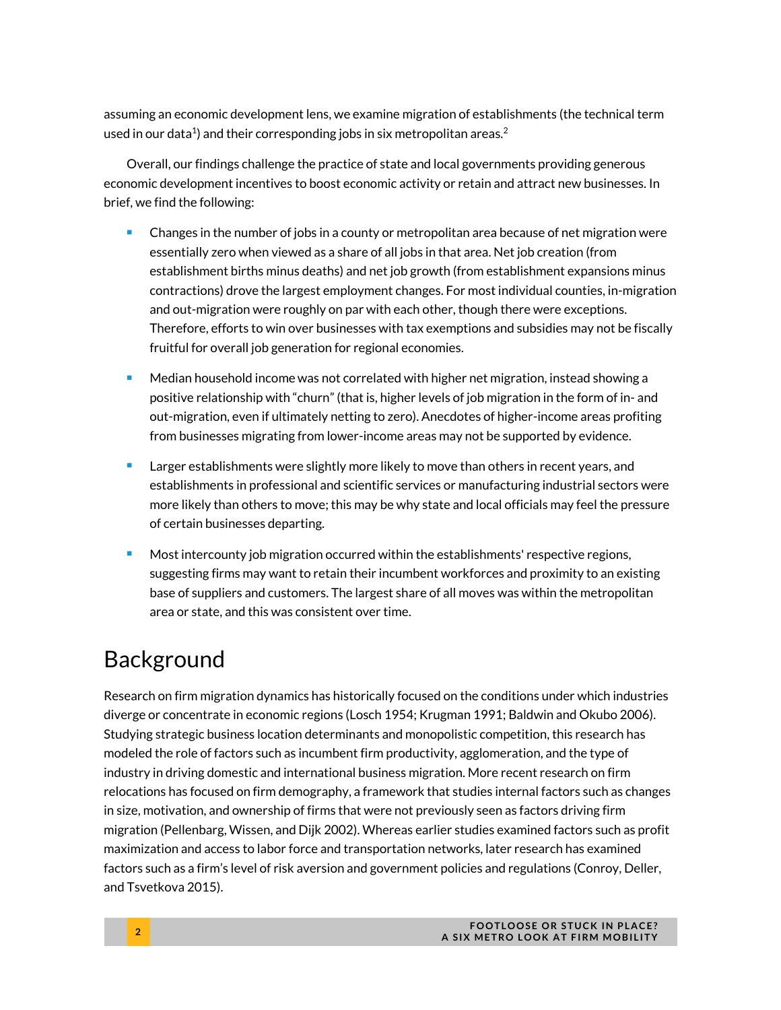assuming an economic development lens, we examine migration of establishments (the technical term used in our data<sup>1</sup>) and their corresponding jobs in six metropolitan areas.<sup>2</sup>

Overall, our findings challenge the practice of state and local governments providing generous economic development incentives to boost economic activity or retain and attract new businesses. In brief, we find the following:

- Changes in the number of jobs in a county or metropolitan area because of net migration were essentially zero when viewed as a share of all jobs in that area. Net job creation (from establishment births minus deaths) and net job growth (from establishment expansions minus contractions) drove the largest employment changes. For most individual counties, in-migration and out-migration were roughly on par with each other, though there were exceptions. Therefore, efforts to win over businesses with tax exemptions and subsidies may not be fiscally fruitful for overall job generation for regional economies.
- **Median household income was not correlated with higher net migration, instead showing a** positive relationship with "churn" (that is, higher levels of job migration in the form of in- and out-migration, even if ultimately netting to zero). Anecdotes of higher-income areas profiting from businesses migrating from lower-income areas may not be supported by evidence.
- **EXED** Larger establishments were slightly more likely to move than others in recent years, and establishments in professional and scientific services or manufacturing industrial sectors were more likely than others to move; this may be why state and local officials may feel the pressure of certain businesses departing.
- Most intercounty job migration occurred within the establishments' respective regions, suggesting firms may want to retain their incumbent workforces and proximity to an existing base of suppliers and customers. The largest share of all moves was within the metropolitan area or state, and this was consistent over time.

### Background

Research on firm migration dynamics has historically focused on the conditions under which industries diverge or concentrate in economic regions (Losch 1954; Krugman 1991; Baldwin and Okubo 2006). Studying strategic business location determinants and monopolistic competition, this research has modeled the role of factors such as incumbent firm productivity, agglomeration, and the type of industry in driving domestic and international business migration. More recent research on firm relocations has focused on firm demography, a framework that studies internal factors such as changes in size, motivation, and ownership of firms that were not previously seen as factors driving firm migration (Pellenbarg, Wissen, and Dijk 2002). Whereas earlier studies examined factors such as profit maximization and access to labor force and transportation networks, later research has examined factors such as a firm's level of risk aversion and government policies and regulations (Conroy, Deller, and Tsvetkova 2015).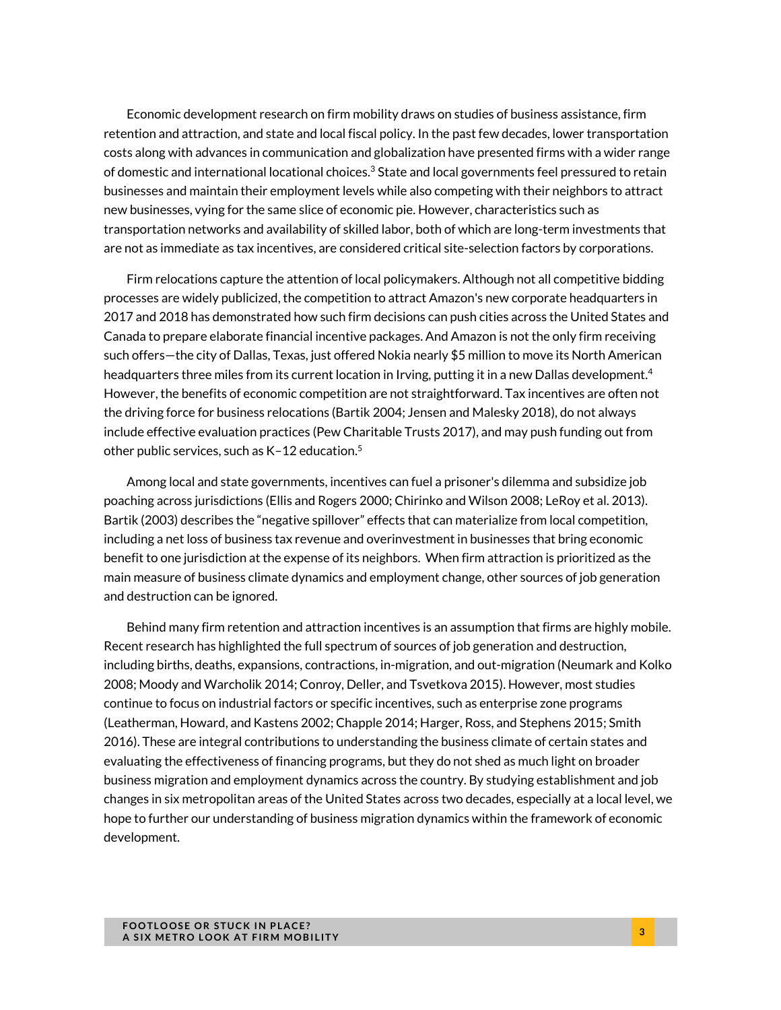Economic development research on firm mobility draws on studies of business assistance, firm retention and attraction, and state and local fiscal policy. In the past few decades, lower transportation costs along with advances in communication and globalization have presented firms with a wider range of domestic and international locational choices.<sup>3</sup> State and local governments feel pressured to retain businesses and maintain their employment levels while also competing with their neighbors to attract new businesses, vying for the same slice of economic pie. However, characteristics such as transportation networks and availability of skilled labor, both of which are long-term investments that are not as immediate as tax incentives, are considered critical site-selection factors by corporations.

Firm relocations capture the attention of local policymakers. Although not all competitive bidding processes are widely publicized, the competition to attract Amazon's new corporate headquarters in 2017 and 2018 has demonstrated how such firm decisions can push cities across the United States and Canada to prepare elaborate financial incentive packages. And Amazon is not the only firm receiving such offers—the city of Dallas, Texas, just offered Nokia nearly \$5 million to move its North American headquarters three miles from its current location in Irving, putting it in a new Dallas development.<sup>4</sup> However, the benefits of economic competition are not straightforward. Tax incentives are often not the driving force for business relocations (Bartik 2004; Jensen and Malesky 2018), do not always include effective evaluation practices (Pew Charitable Trusts 2017), and may push funding out from other public services, such as  $K-12$  education.<sup>5</sup>

Among local and state governments, incentives can fuel a prisoner's dilemma and subsidize job poaching across jurisdictions (Ellis and Rogers 2000; Chirinko and Wilson 2008; LeRoy et al. 2013). Bartik (2003) describes the "negative spillover" effects that can materialize from local competition, including a net loss of business tax revenue and overinvestment in businesses that bring economic benefit to one jurisdiction at the expense of its neighbors. When firm attraction is prioritized as the main measure of business climate dynamics and employment change, other sources of job generation and destruction can be ignored.

Behind many firm retention and attraction incentives is an assumption that firms are highly mobile. Recent research has highlighted the full spectrum of sources of job generation and destruction, including births, deaths, expansions, contractions, in-migration, and out-migration (Neumark and Kolko 2008; Moody and Warcholik 2014; Conroy, Deller, and Tsvetkova 2015). However, most studies continue to focus on industrial factors or specific incentives, such as enterprise zone programs (Leatherman, Howard, and Kastens 2002; Chapple 2014; Harger, Ross, and Stephens 2015; Smith 2016). These are integral contributions to understanding the business climate of certain states and evaluating the effectiveness of financing programs, but they do not shed as much light on broader business migration and employment dynamics across the country. By studying establishment and job changes in six metropolitan areas of the United States across two decades, especially at a local level, we hope to further our understanding of business migration dynamics within the framework of economic development.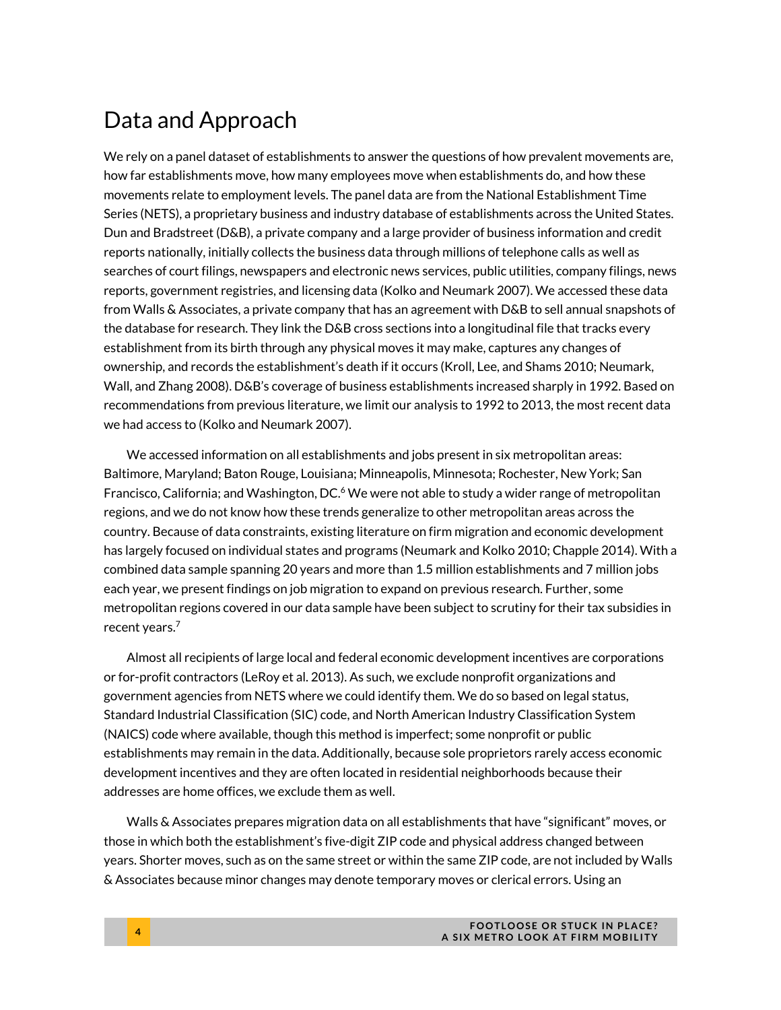### Data and Approach

We rely on a panel dataset of establishments to answer the questions of how prevalent movements are, how far establishments move, how many employees move when establishments do, and how these movements relate to employment levels. The panel data are from the National Establishment Time Series (NETS), a proprietary business and industry database of establishments across the United States. Dun and Bradstreet (D&B), a private company and a large provider of business information and credit reports nationally, initially collects the business data through millions of telephone calls as well as searches of court filings, newspapers and electronic news services, public utilities, company filings, news reports, government registries, and licensing data (Kolko and Neumark 2007). We accessed these data from Walls & Associates, a private company that has an agreement with D&B to sell annual snapshots of the database for research. They link the D&B cross sections into a longitudinal file that tracks every establishment from its birth through any physical moves it may make, captures any changes of ownership, and records the establishment's death if it occurs (Kroll, Lee, and Shams 2010; Neumark, Wall, and Zhang 2008). D&B's coverage of business establishments increased sharply in 1992. Based on recommendations from previous literature, we limit our analysis to 1992 to 2013, the most recent data we had access to (Kolko and Neumark 2007).

We accessed information on all establishments and jobs present in six metropolitan areas: Baltimore, Maryland; Baton Rouge, Louisiana; Minneapolis, Minnesota; Rochester, New York; San Francisco, California; and Washington, DC. $6$  We were not able to study a wider range of metropolitan regions, and we do not know how these trends generalize to other metropolitan areas across the country. Because of data constraints, existing literature on firm migration and economic development has largely focused on individual states and programs (Neumark and Kolko 2010; Chapple 2014). With a combined data sample spanning 20 years and more than 1.5 million establishments and 7 million jobs each year, we present findings on job migration to expand on previous research. Further, some metropolitan regions covered in our data sample have been subject to scrutiny for their tax subsidies in recent years.7

Almost all recipients of large local and federal economic development incentives are corporations or for-profit contractors (LeRoy et al. 2013). As such, we exclude nonprofit organizations and government agencies from NETS where we could identify them. We do so based on legal status, Standard Industrial Classification (SIC) code, and North American Industry Classification System (NAICS) code where available, though this method is imperfect; some nonprofit or public establishments may remain in the data. Additionally, because sole proprietors rarely access economic development incentives and they are often located in residential neighborhoods because their addresses are home offices, we exclude them as well.

Walls & Associates prepares migration data on all establishments that have "significant" moves, or those in which both the establishment's five-digit ZIP code and physical address changed between years. Shorter moves, such as on the same street or within the same ZIP code, are not included by Walls & Associates because minor changes may denote temporary moves or clerical errors. Using an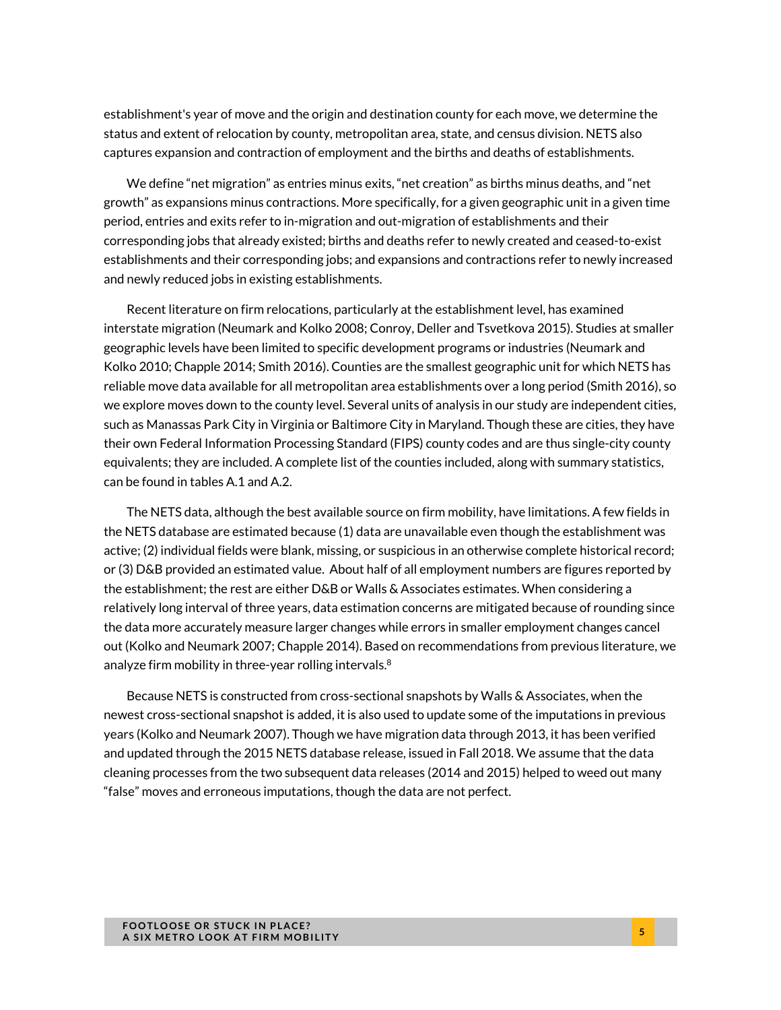establishment's year of move and the origin and destination county for each move, we determine the status and extent of relocation by county, metropolitan area, state, and census division. NETS also captures expansion and contraction of employment and the births and deaths of establishments.

We define "net migration" as entries minus exits, "net creation" as births minus deaths, and "net growth" as expansions minus contractions. More specifically, for a given geographic unit in a given time period, entries and exits refer to in-migration and out-migration of establishments and their corresponding jobs that already existed; births and deaths refer to newly created and ceased-to-exist establishments and their corresponding jobs; and expansions and contractions refer to newly increased and newly reduced jobs in existing establishments.

Recent literature on firm relocations, particularly at the establishment level, has examined interstate migration (Neumark and Kolko 2008; Conroy, Deller and Tsvetkova 2015). Studies at smaller geographic levels have been limited to specific development programs or industries (Neumark and Kolko 2010; Chapple 2014; Smith 2016). Counties are the smallest geographic unit for which NETS has reliable move data available for all metropolitan area establishments over a long period (Smith 2016), so we explore moves down to the county level. Several units of analysis in our study are independent cities, such as Manassas Park City in Virginia or Baltimore City in Maryland. Though these are cities, they have their own Federal Information Processing Standard (FIPS) county codes and are thus single-city county equivalents; they are included. A complete list of the counties included, along with summary statistics, can be found in tables A.1 and A.2.

The NETS data, although the best available source on firm mobility, have limitations. A few fields in the NETS database are estimated because (1) data are unavailable even though the establishment was active; (2) individual fields were blank, missing, or suspicious in an otherwise complete historical record; or (3) D&B provided an estimated value. About half of all employment numbers are figures reported by the establishment; the rest are either D&B or Walls & Associates estimates. When considering a relatively long interval of three years, data estimation concerns are mitigated because of rounding since the data more accurately measure larger changes while errors in smaller employment changes cancel out (Kolko and Neumark 2007; Chapple 2014). Based on recommendations from previous literature, we analyze firm mobility in three-year rolling intervals. $8$ 

Because NETS is constructed from cross-sectional snapshots by Walls & Associates, when the newest cross-sectional snapshot is added, it is also used to update some of the imputations in previous years (Kolko and Neumark 2007). Though we have migration data through 2013, it has been verified and updated through the 2015 NETS database release, issued in Fall 2018. We assume that the data cleaning processes from the two subsequent data releases (2014 and 2015) helped to weed out many "false" moves and erroneous imputations, though the data are not perfect.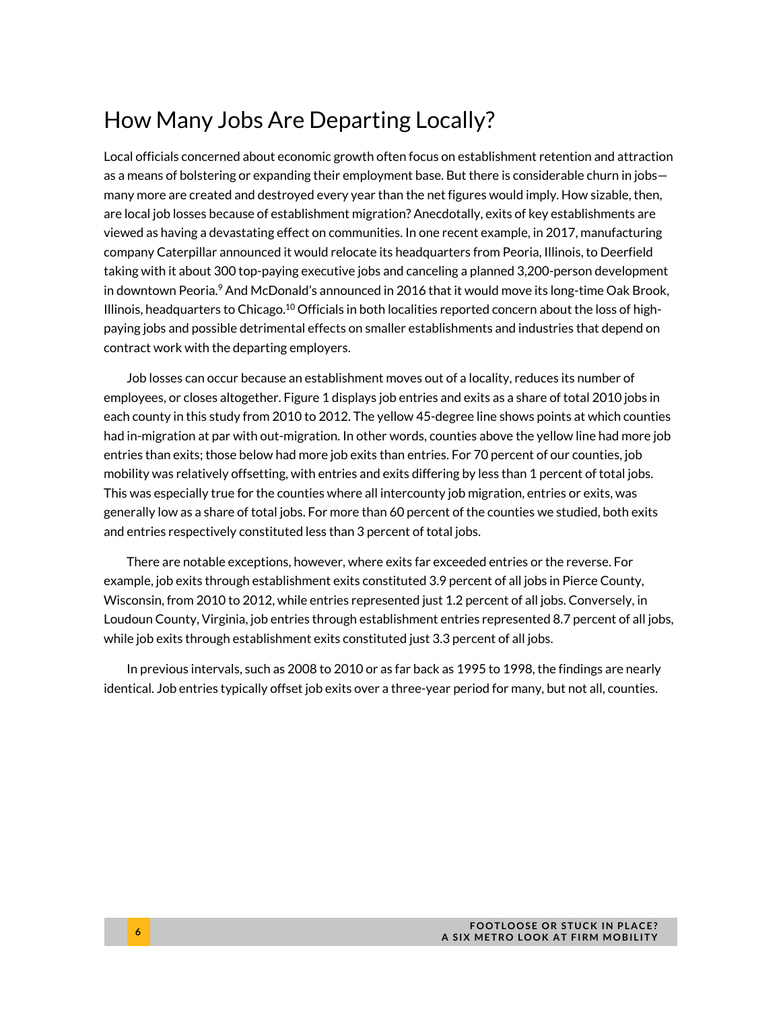# How Many Jobs Are Departing Locally?

Local officials concerned about economic growth often focus on establishment retention and attraction as a means of bolstering or expanding their employment base. But there is considerable churn in jobs many more are created and destroyed every year than the net figures would imply. How sizable, then, are local job losses because of establishment migration? Anecdotally, exits of key establishments are viewed as having a devastating effect on communities. In one recent example, in 2017, manufacturing company Caterpillar announced it would relocate its headquarters from Peoria, Illinois, to Deerfield taking with it about 300 top-paying executive jobs and canceling a planned 3,200-person development in downtown Peoria. $9$  And McDonald's announced in 2016 that it would move its long-time Oak Brook, Illinois, headquarters to Chicago.<sup>10</sup> Officials in both localities reported concern about the loss of highpaying jobs and possible detrimental effects on smaller establishments and industries that depend on contract work with the departing employers.

Job losses can occur because an establishment moves out of a locality, reduces its number of employees, or closes altogether. Figure 1 displays job entries and exits as a share of total 2010 jobs in each county in this study from 2010 to 2012. The yellow 45-degree line shows points at which counties had in-migration at par with out-migration. In other words, counties above the yellow line had more job entries than exits; those below had more job exits than entries. For 70 percent of our counties, job mobility was relatively offsetting, with entries and exits differing by less than 1 percent of total jobs. This was especially true for the counties where all intercounty job migration, entries or exits, was generally low as a share of total jobs. For more than 60 percent of the counties we studied, both exits and entries respectively constituted less than 3 percent of total jobs.

There are notable exceptions, however, where exits far exceeded entries or the reverse. For example, job exits through establishment exits constituted 3.9 percent of all jobs in Pierce County, Wisconsin, from 2010 to 2012, while entries represented just 1.2 percent of all jobs. Conversely, in Loudoun County, Virginia, job entries through establishment entries represented 8.7 percent of all jobs, while job exits through establishment exits constituted just 3.3 percent of all jobs.

In previous intervals, such as 2008 to 2010 or as far back as 1995 to 1998, the findings are nearly identical. Job entries typically offset job exits over a three-year period for many, but not all, counties.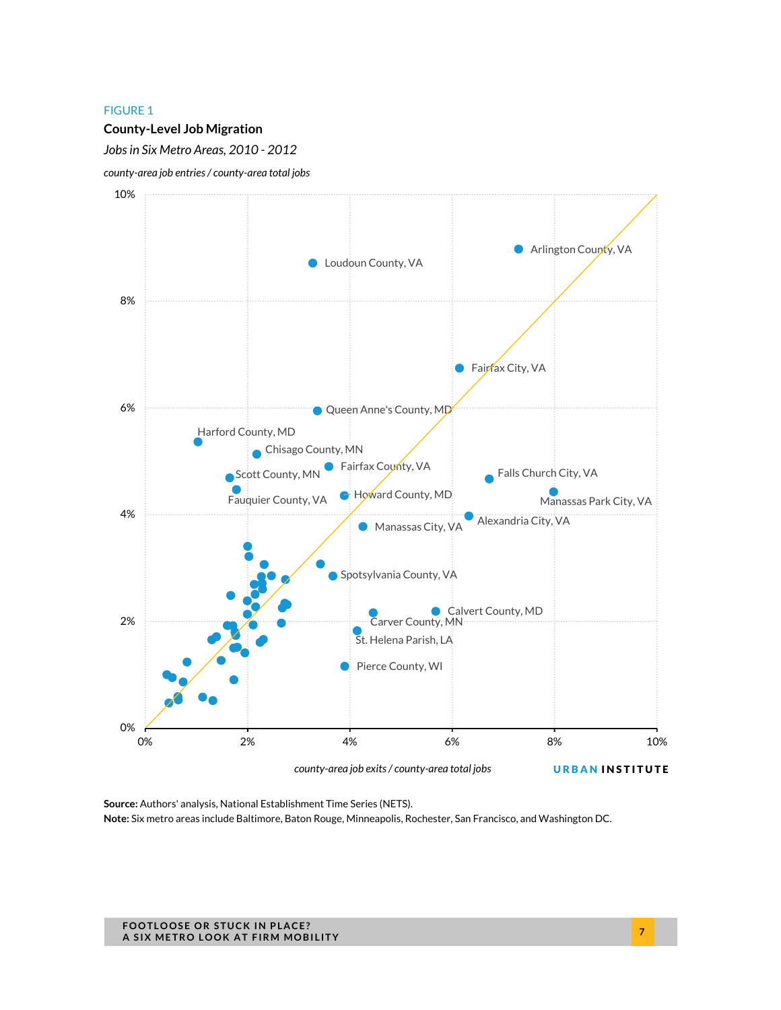#### **County-Level Job Migration**

*Jobs in Six Metro Areas, 2010 - 2012* 





*county-area job exits / county-area total jobs* 

URBAN INSTITUTE

**Source:** Authors' analysis, National Establishment Time Series (NETS). **Note:** Six metro areas include Baltimore, Baton Rouge, Minneapolis, Rochester, San Francisco, and Washington DC.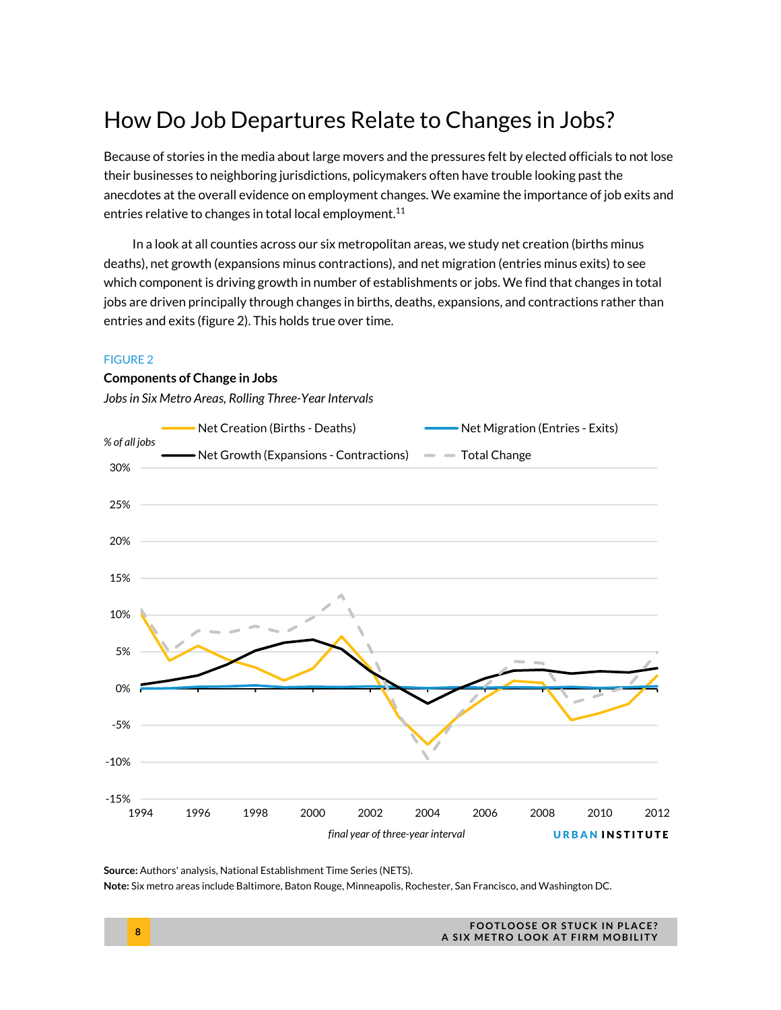# How Do Job Departures Relate to Changes in Jobs?

Because of stories in the media about large movers and the pressures felt by elected officials to not lose their businesses to neighboring jurisdictions, policymakers often have trouble looking past the anecdotes at the overall evidence on employment changes. We examine the importance of job exits and entries relative to changes in total local employment.<sup>11</sup>

In a look at all counties across our six metropolitan areas, we study net creation (births minus deaths), net growth (expansions minus contractions), and net migration (entries minus exits) to see which component is driving growth in number of establishments or jobs. We find that changes in total jobs are driven principally through changes in births, deaths, expansions, and contractions rather than entries and exits (figure 2). This holds true over time.

#### FIGURE 2

#### **Components of Change in Jobs**

*Jobs in Six Metro Areas, Rolling Three-Year Intervals* 



**Source:** Authors' analysis, National Establishment Time Series (NETS).

**Note:** Six metro areas include Baltimore, Baton Rouge, Minneapolis, Rochester, San Francisco, and Washington DC.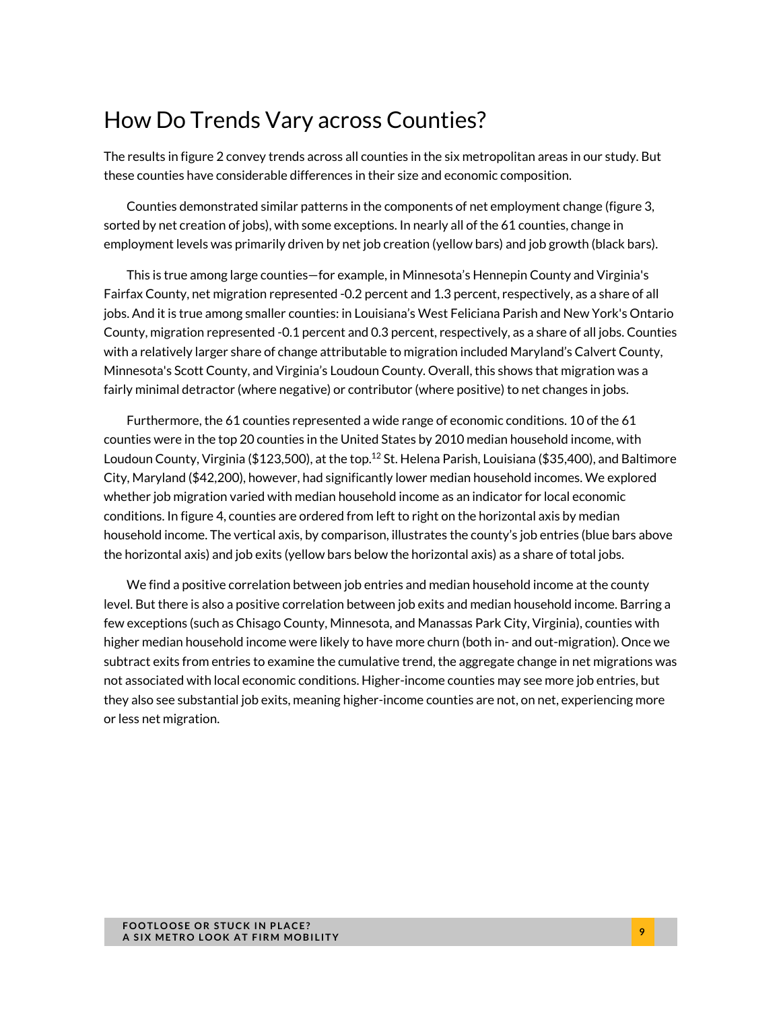### How Do Trends Vary across Counties?

The results in figure 2 convey trends across all counties in the six metropolitan areas in our study. But these counties have considerable differences in their size and economic composition.

Counties demonstrated similar patterns in the components of net employment change (figure 3, sorted by net creation of jobs), with some exceptions. In nearly all of the 61 counties, change in employment levels was primarily driven by net job creation (yellow bars) and job growth (black bars).

This is true among large counties—for example, in Minnesota's Hennepin County and Virginia's Fairfax County, net migration represented -0.2 percent and 1.3 percent, respectively, as a share of all jobs. And it is true among smaller counties: in Louisiana's West Feliciana Parish and New York's Ontario County, migration represented -0.1 percent and 0.3 percent, respectively, as a share of all jobs. Counties with a relatively larger share of change attributable to migration included Maryland's Calvert County, Minnesota's Scott County, and Virginia's Loudoun County. Overall, this shows that migration was a fairly minimal detractor (where negative) or contributor (where positive) to net changes in jobs.

Furthermore, the 61 counties represented a wide range of economic conditions. 10 of the 61 counties were in the top 20 counties in the United States by 2010 median household income, with Loudoun County, Virginia (\$123,500), at the top.<sup>12</sup> St. Helena Parish, Louisiana (\$35,400), and Baltimore City, Maryland (\$42,200), however, had significantly lower median household incomes. We explored whether job migration varied with median household income as an indicator for local economic conditions. In figure 4, counties are ordered from left to right on the horizontal axis by median household income. The vertical axis, by comparison, illustrates the county's job entries (blue bars above the horizontal axis) and job exits (yellow bars below the horizontal axis) as a share of total jobs.

We find a positive correlation between job entries and median household income at the county level. But there is also a positive correlation between job exits and median household income. Barring a few exceptions (such as Chisago County, Minnesota, and Manassas Park City, Virginia), counties with higher median household income were likely to have more churn (both in- and out-migration). Once we subtract exits from entries to examine the cumulative trend, the aggregate change in net migrations was not associated with local economic conditions. Higher-income counties may see more job entries, but they also see substantial job exits, meaning higher-income counties are not, on net, experiencing more or less net migration.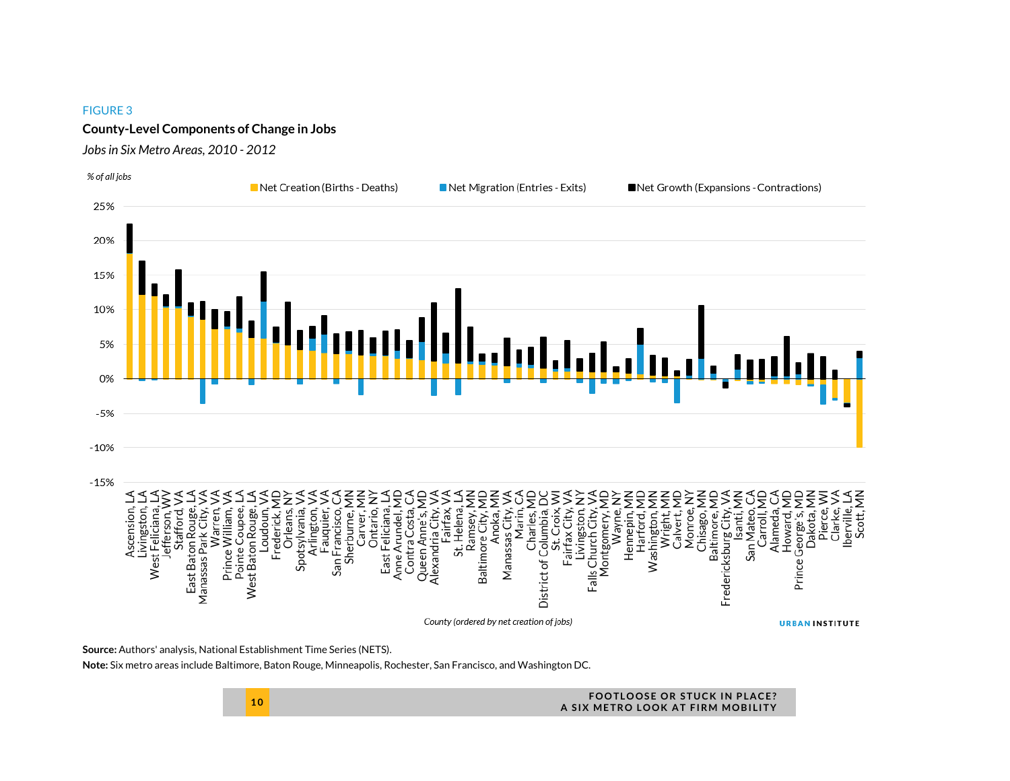#### **County-Level Components of Change in Jobs**

#### *Jobs in Six Metro Areas, 2010 - 2012*



**Source:** Authors' analysis, National Establishment Time Series (NETS).

**Note:** Six metro areas include Baltimore, Baton Rouge, Minneapolis, Rochester, San Francisco, and Washington DC.

**10 FOOTLOOSE OR STUCK IN PLACE? A SIX METRO LOOK AT FIRM MOBILITY**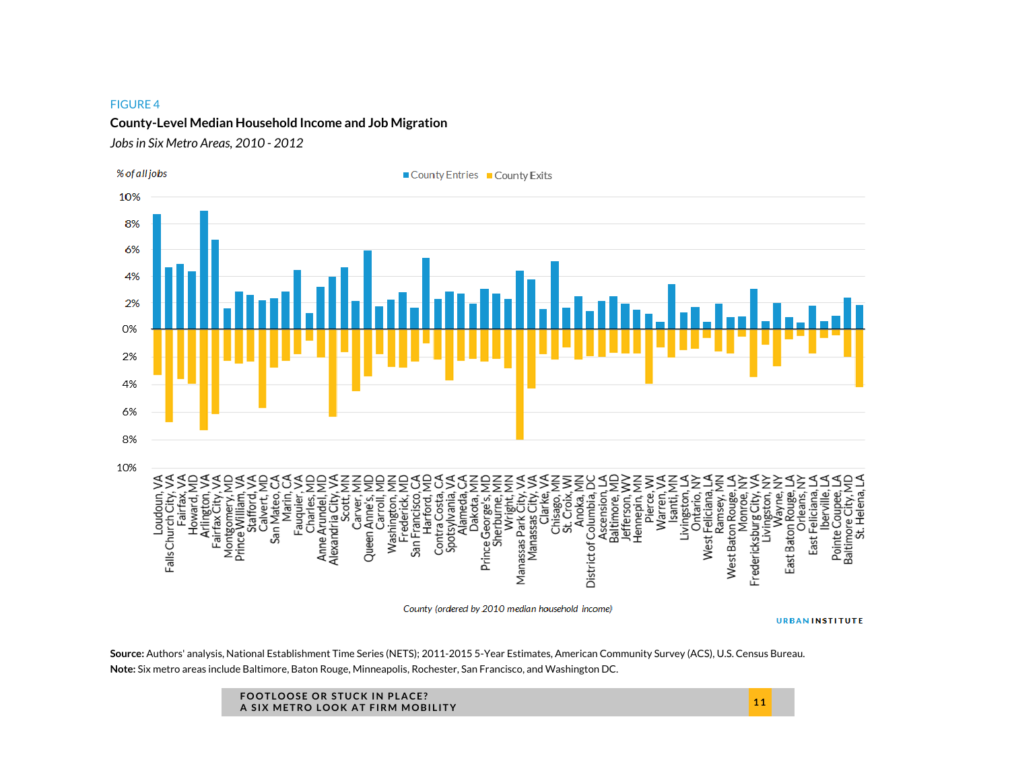#### **County-Level Median Household Income and Job Migration**

*Jobs in Six Metro Areas, 2010 - 2012* 



County (ordered by 2010 median household income)

**URBANINSTITUTE** 

**Source:** Authors' analysis, National Establishment Time Series (NETS); 2011-2015 5-Year Estimates, American Community Survey (ACS), U.S. Census Bureau. **Note:** Six metro areas include Baltimore, Baton Rouge, Minneapolis, Rochester, San Francisco, and Washington DC.

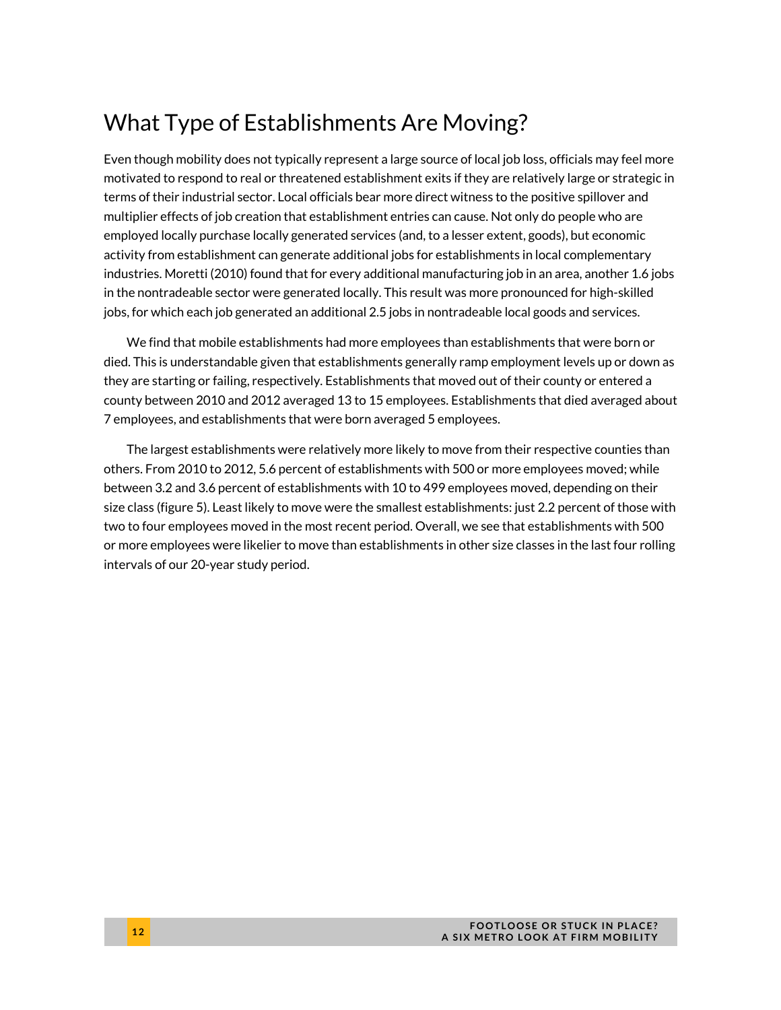# What Type of Establishments Are Moving?

Even though mobility does not typically represent a large source of local job loss, officials may feel more motivated to respond to real or threatened establishment exits if they are relatively large or strategic in terms of their industrial sector. Local officials bear more direct witness to the positive spillover and multiplier effects of job creation that establishment entries can cause. Not only do people who are employed locally purchase locally generated services (and, to a lesser extent, goods), but economic activity from establishment can generate additional jobs for establishments in local complementary industries. Moretti (2010) found that for every additional manufacturing job in an area, another 1.6 jobs in the nontradeable sector were generated locally. This result was more pronounced for high-skilled jobs, for which each job generated an additional 2.5 jobs in nontradeable local goods and services.

We find that mobile establishments had more employees than establishments that were born or died. This is understandable given that establishments generally ramp employment levels up or down as they are starting or failing, respectively. Establishments that moved out of their county or entered a county between 2010 and 2012 averaged 13 to 15 employees. Establishments that died averaged about 7 employees, and establishments that were born averaged 5 employees.

The largest establishments were relatively more likely to move from their respective counties than others. From 2010 to 2012, 5.6 percent of establishments with 500 or more employees moved; while between 3.2 and 3.6 percent of establishments with 10 to 499 employees moved, depending on their size class (figure 5). Least likely to move were the smallest establishments: just 2.2 percent of those with two to four employees moved in the most recent period. Overall, we see that establishments with 500 or more employees were likelier to move than establishments in other size classes in the last four rolling intervals of our 20-year study period.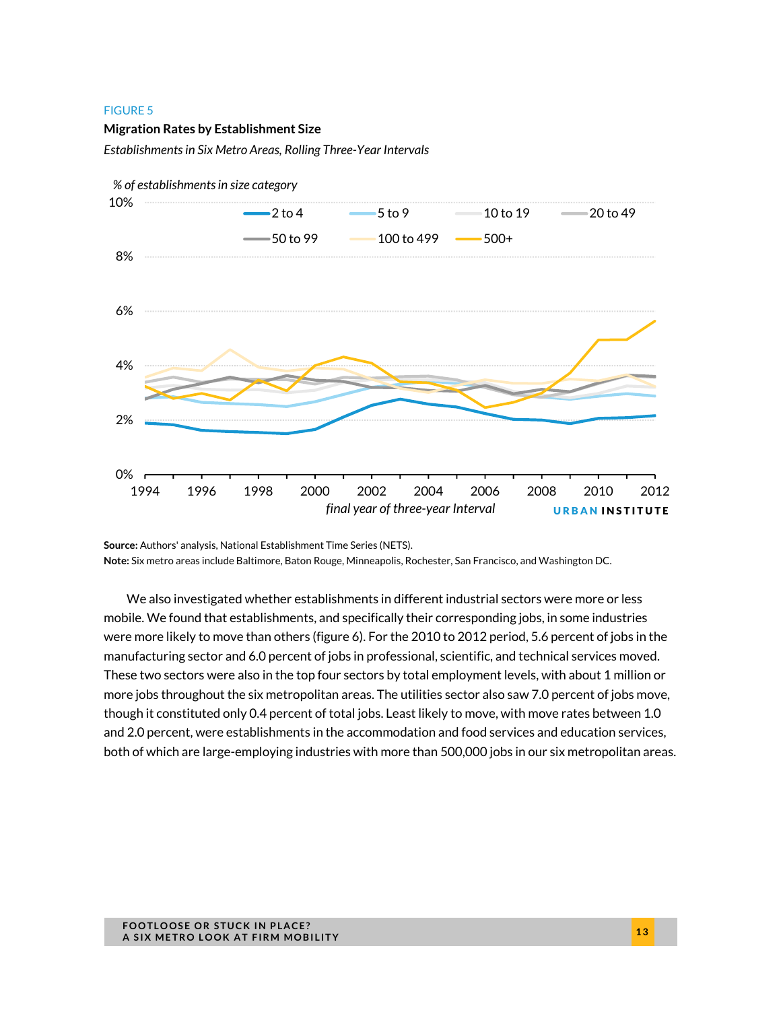#### **Migration Rates by Establishment Size**

*Establishments in Six Metro Areas, Rolling Three-Year Intervals* 



**Source:** Authors' analysis, National Establishment Time Series (NETS).

**Note:** Six metro areas include Baltimore, Baton Rouge, Minneapolis, Rochester, San Francisco, and Washington DC.

We also investigated whether establishments in different industrial sectors were more or less mobile. We found that establishments, and specifically their corresponding jobs, in some industries were more likely to move than others (figure 6). For the 2010 to 2012 period, 5.6 percent of jobs in the manufacturing sector and 6.0 percent of jobs in professional, scientific, and technical services moved. These two sectors were also in the top four sectors by total employment levels, with about 1 million or more jobs throughout the six metropolitan areas. The utilities sector also saw 7.0 percent of jobs move, though it constituted only 0.4 percent of total jobs. Least likely to move, with move rates between 1.0 and 2.0 percent, were establishments in the accommodation and food services and education services, both of which are large-employing industries with more than 500,000 jobs in our six metropolitan areas.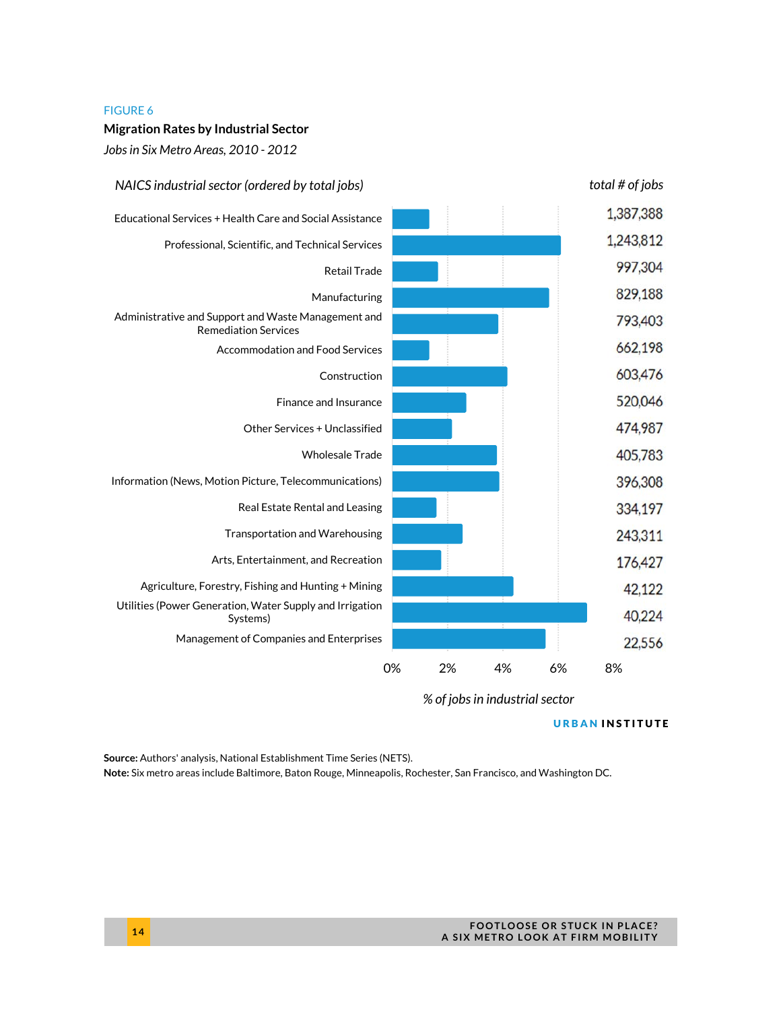#### **Migration Rates by Industrial Sector**

*Jobs in Six Metro Areas, 2010 - 2012* 



*% of jobs in industrial sector*

#### URBAN INSTITUTE

**Source:** Authors' analysis, National Establishment Time Series (NETS).

**Note:** Six metro areas include Baltimore, Baton Rouge, Minneapolis, Rochester, San Francisco, and Washington DC.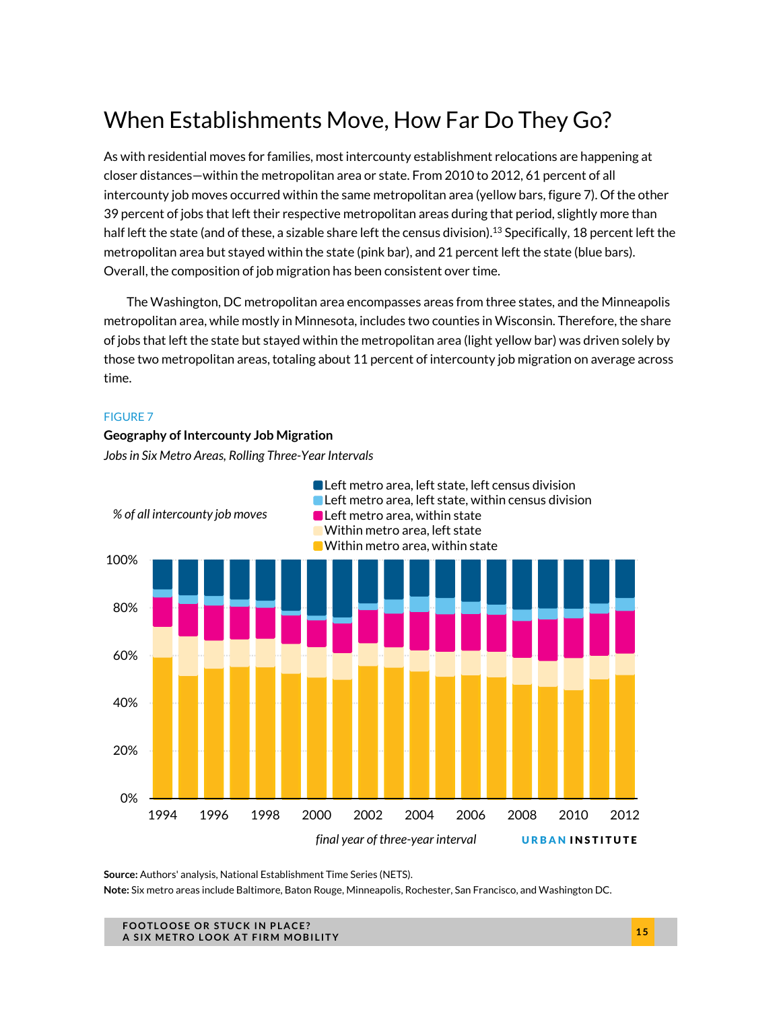# When Establishments Move, How Far Do They Go?

As with residential moves for families, most intercounty establishment relocations are happening at closer distances—within the metropolitan area or state. From 2010 to 2012, 61 percent of all intercounty job moves occurred within the same metropolitan area (yellow bars, figure 7). Of the other 39 percent of jobs that left their respective metropolitan areas during that period, slightly more than half left the state (and of these, a sizable share left the census division).<sup>13</sup> Specifically, 18 percent left the metropolitan area but stayed within the state (pink bar), and 21 percent left the state (blue bars). Overall, the composition of job migration has been consistent over time.

The Washington, DC metropolitan area encompasses areas from three states, and the Minneapolis metropolitan area, while mostly in Minnesota, includes two counties in Wisconsin. Therefore, the share of jobs that left the state but stayed within the metropolitan area (light yellow bar) was driven solely by those two metropolitan areas, totaling about 11 percent of intercounty job migration on average across time.

#### FIGURE 7

#### **Geography of Intercounty Job Migration**

*Jobs in Six Metro Areas, Rolling Three-Year Intervals* 



**Source:** Authors' analysis, National Establishment Time Series (NETS).

**Note:** Six metro areas include Baltimore, Baton Rouge, Minneapolis, Rochester, San Francisco, and Washington DC.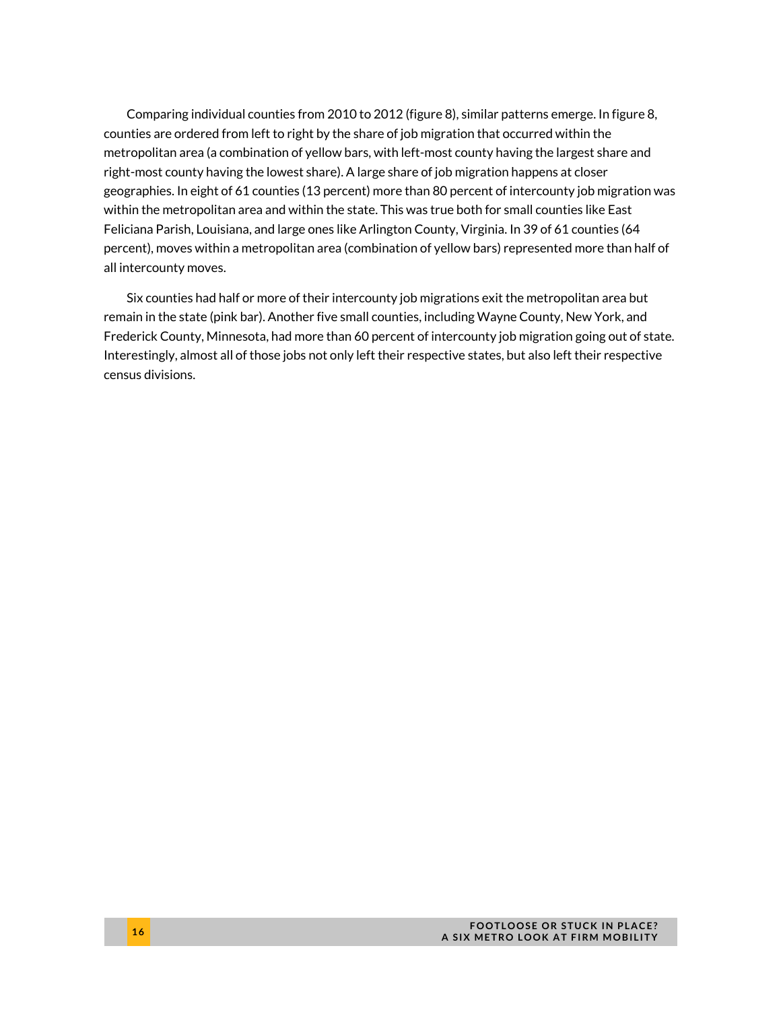Comparing individual counties from 2010 to 2012 (figure 8), similar patterns emerge. In figure 8, counties are ordered from left to right by the share of job migration that occurred within the metropolitan area (a combination of yellow bars, with left-most county having the largest share and right-most county having the lowest share). A large share of job migration happens at closer geographies. In eight of 61 counties (13 percent) more than 80 percent of intercounty job migration was within the metropolitan area and within the state. This was true both for small counties like East Feliciana Parish, Louisiana, and large ones like Arlington County, Virginia. In 39 of 61 counties (64 percent), moves within a metropolitan area (combination of yellow bars) represented more than half of all intercounty moves.

Six counties had half or more of their intercounty job migrations exit the metropolitan area but remain in the state (pink bar). Another five small counties, including Wayne County, New York, and Frederick County, Minnesota, had more than 60 percent of intercounty job migration going out of state. Interestingly, almost all of those jobs not only left their respective states, but also left their respective census divisions.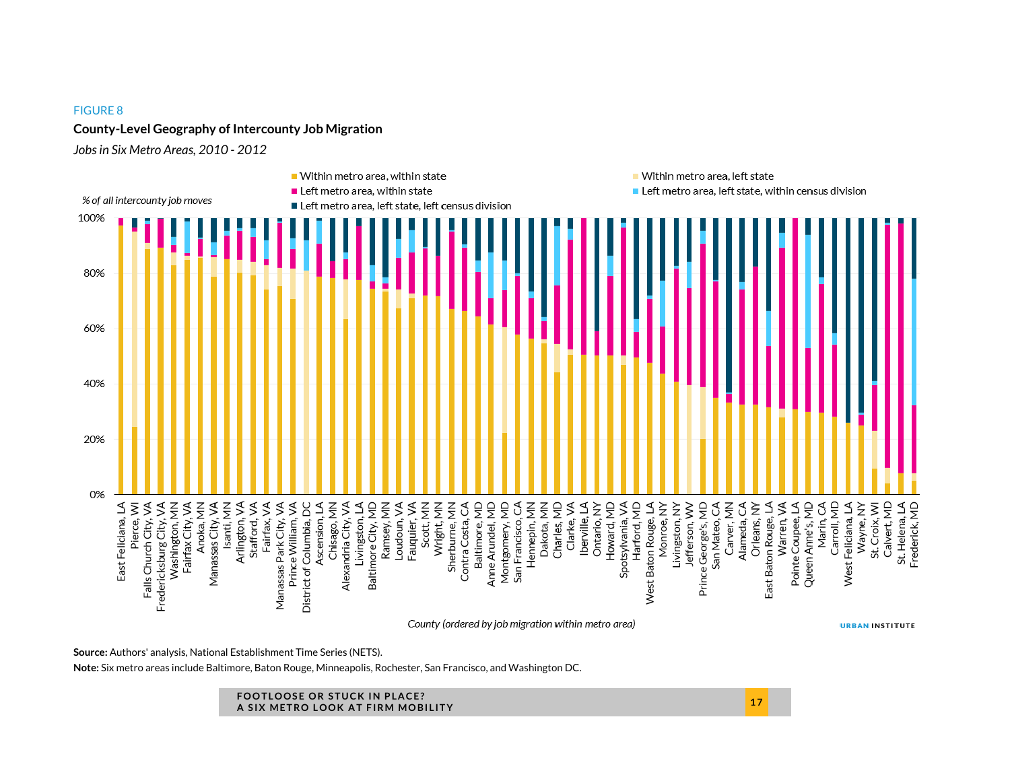#### **County-Level Geography of Intercounty Job Migration**

*Jobs in Six Metro Areas, 2010 - 2012* 



**Source:** Authors' analysis, National Establishment Time Series (NETS).

**Note:** Six metro areas include Baltimore, Baton Rouge, Minneapolis, Rochester, San Francisco, and Washington DC.

#### **FOOTLOOSE OR STUCK IN PLACE? A SIX METRO LOOK AT FIRM MOBILITY <sup>1</sup> <sup>7</sup>**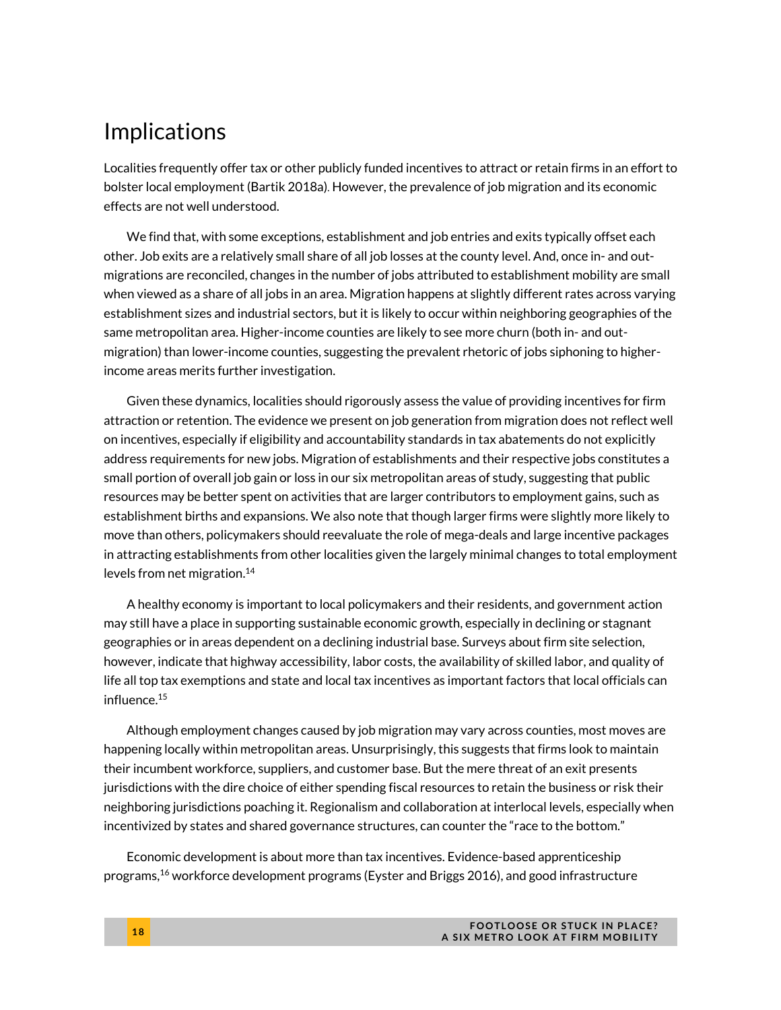### Implications

Localities frequently offer tax or other publicly funded incentives to attract or retain firms in an effort to bolster local employment (Bartik 2018a). However, the prevalence of job migration and its economic effects are not well understood.

We find that, with some exceptions, establishment and job entries and exits typically offset each other. Job exits are a relatively small share of all job losses at the county level. And, once in- and outmigrations are reconciled, changes in the number of jobs attributed to establishment mobility are small when viewed as a share of all jobs in an area. Migration happens at slightly different rates across varying establishment sizes and industrial sectors, but it is likely to occur within neighboring geographies of the same metropolitan area. Higher-income counties are likely to see more churn (both in- and outmigration) than lower-income counties, suggesting the prevalent rhetoric of jobs siphoning to higherincome areas merits further investigation.

Given these dynamics, localities should rigorously assess the value of providing incentives for firm attraction or retention. The evidence we present on job generation from migration does not reflect well on incentives, especially if eligibility and accountability standards in tax abatements do not explicitly address requirements for new jobs. Migration of establishments and their respective jobs constitutes a small portion of overall job gain or loss in our six metropolitan areas of study, suggesting that public resources may be better spent on activities that are larger contributors to employment gains, such as establishment births and expansions. We also note that though larger firms were slightly more likely to move than others, policymakers should reevaluate the role of mega-deals and large incentive packages in attracting establishments from other localities given the largely minimal changes to total employment levels from net migration.<sup>14</sup>

A healthy economy is important to local policymakers and their residents, and government action may still have a place in supporting sustainable economic growth, especially in declining or stagnant geographies or in areas dependent on a declining industrial base. Surveys about firm site selection, however, indicate that highway accessibility, labor costs, the availability of skilled labor, and quality of life all top tax exemptions and state and local tax incentives as important factors that local officials can influence.15

Although employment changes caused by job migration may vary across counties, most moves are happening locally within metropolitan areas. Unsurprisingly, this suggests that firms look to maintain their incumbent workforce, suppliers, and customer base. But the mere threat of an exit presents jurisdictions with the dire choice of either spending fiscal resources to retain the business or risk their neighboring jurisdictions poaching it. Regionalism and collaboration at interlocal levels, especially when incentivized by states and shared governance structures, can counter the "race to the bottom."

Economic development is about more than tax incentives. Evidence-based apprenticeship programs,<sup>16</sup> workforce development programs (Eyster and Briggs 2016), and good infrastructure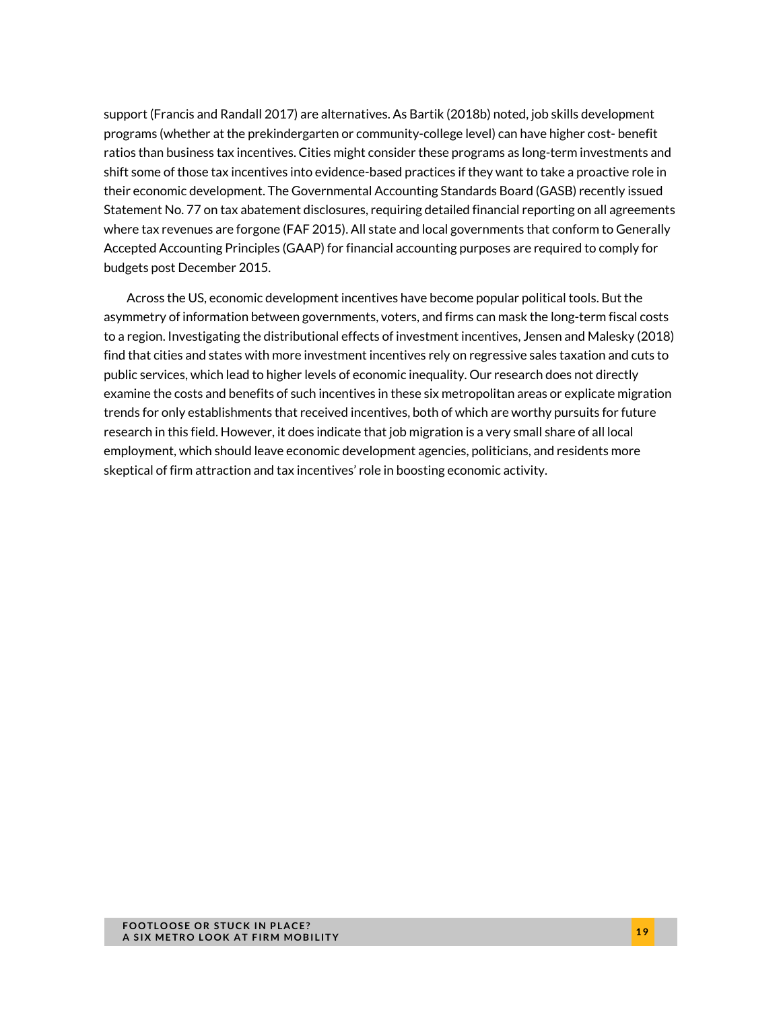support (Francis and Randall 2017) are alternatives. As Bartik (2018b) noted, job skills development programs (whether at the prekindergarten or community-college level) can have higher cost- benefit ratios than business tax incentives. Cities might consider these programs as long-term investments and shift some of those tax incentives into evidence-based practices if they want to take a proactive role in their economic development. The Governmental Accounting Standards Board (GASB) recently issued Statement No. 77 on tax abatement disclosures, requiring detailed financial reporting on all agreements where tax revenues are forgone (FAF 2015). All state and local governments that conform to Generally Accepted Accounting Principles (GAAP) for financial accounting purposes are required to comply for budgets post December 2015.

Across the US, economic development incentives have become popular political tools. But the asymmetry of information between governments, voters, and firms can mask the long-term fiscal costs to a region. Investigating the distributional effects of investment incentives, Jensen and Malesky (2018) find that cities and states with more investment incentives rely on regressive sales taxation and cuts to public services, which lead to higher levels of economic inequality. Our research does not directly examine the costs and benefits of such incentives in these six metropolitan areas or explicate migration trends for only establishments that received incentives, both of which are worthy pursuits for future research in this field. However, it does indicate that job migration is a very small share of all local employment, which should leave economic development agencies, politicians, and residents more skeptical of firm attraction and tax incentives' role in boosting economic activity.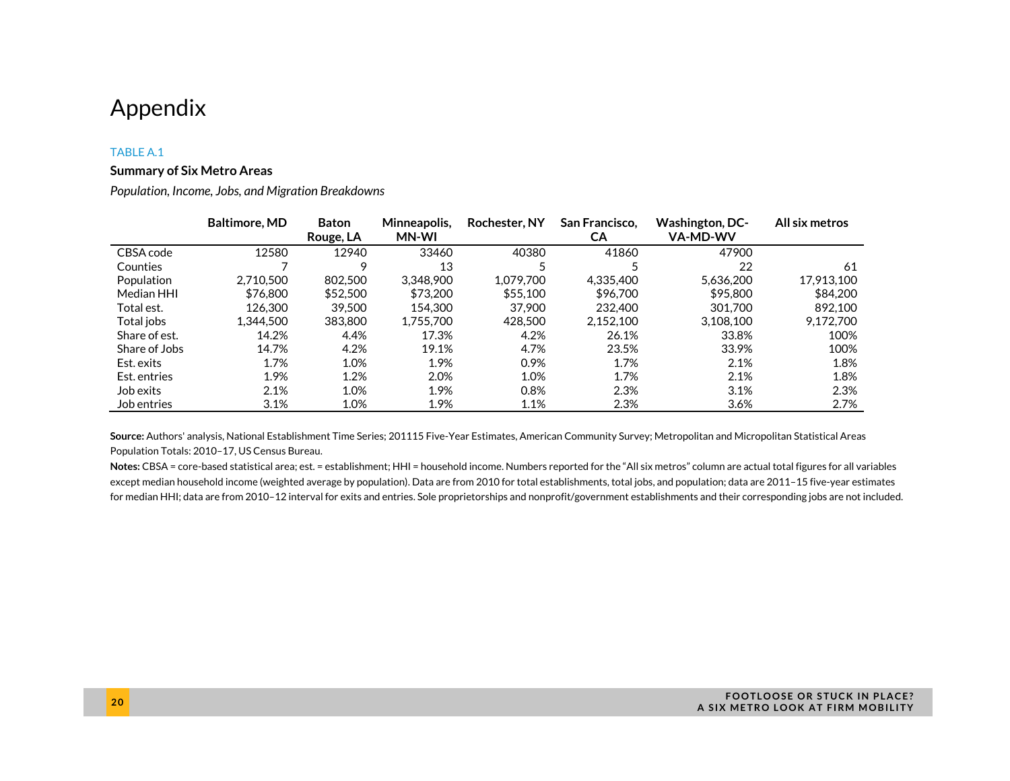### Appendix

#### TABLE A.1

#### **Summary of Six Metro Areas**

*Population, Income, Jobs, and Migration Breakdowns* 

|               | <b>Baltimore, MD</b> | <b>Baton</b><br>Rouge, LA | Minneapolis.<br><b>MN-WI</b> | Rochester, NY | San Francisco,<br>CА | <b>Washington, DC-</b><br><b>VA-MD-WV</b> | All six metros |
|---------------|----------------------|---------------------------|------------------------------|---------------|----------------------|-------------------------------------------|----------------|
| CBSA code     | 12580                | 12940                     | 33460                        | 40380         | 41860                | 47900                                     |                |
| Counties      |                      | Q                         | 13                           |               |                      | 22                                        | 61             |
| Population    | 2.710.500            | 802,500                   | 3.348.900                    | 1.079.700     | 4.335.400            | 5.636.200                                 | 17,913,100     |
| Median HHI    | \$76,800             | \$52,500                  | \$73,200                     | \$55,100      | \$96,700             | \$95,800                                  | \$84.200       |
| Total est.    | 126,300              | 39,500                    | 154.300                      | 37,900        | 232,400              | 301.700                                   | 892.100        |
| Total jobs    | 1.344.500            | 383,800                   | 1.755.700                    | 428,500       | 2.152.100            | 3.108.100                                 | 9.172.700      |
| Share of est. | 14.2%                | 4.4%                      | 17.3%                        | 4.2%          | 26.1%                | 33.8%                                     | 100%           |
| Share of Jobs | 14.7%                | 4.2%                      | 19.1%                        | 4.7%          | 23.5%                | 33.9%                                     | 100%           |
| Est. exits    | 1.7%                 | 1.0%                      | 1.9%                         | 0.9%          | 1.7%                 | 2.1%                                      | 1.8%           |
| Est. entries  | 1.9%                 | 1.2%                      | 2.0%                         | 1.0%          | 1.7%                 | 2.1%                                      | 1.8%           |
| Job exits     | 2.1%                 | 1.0%                      | 1.9%                         | 0.8%          | 2.3%                 | 3.1%                                      | 2.3%           |
| Job entries   | 3.1%                 | 1.0%                      | 1.9%                         | 1.1%          | 2.3%                 | 3.6%                                      | 2.7%           |

**Source:** Authors' analysis, National Establishment Time Series; 201115 Five-Year Estimates, American Community Survey; Metropolitan and Micropolitan Statistical Areas Population Totals: 2010–17, US Census Bureau.

Notes: CBSA = core-based statistical area; est. = establishment; HHI = household income. Numbers reported for the "All six metros" column are actual total figures for all variables except median household income (weighted average by population). Data are from 2010 for total establishments, total jobs, and population; data are 2011–15 five-year estimates for median HHI; data are from 2010–12 interval for exits and entries. Sole proprietorships and nonprofit/government establishments and their corresponding jobs are not included.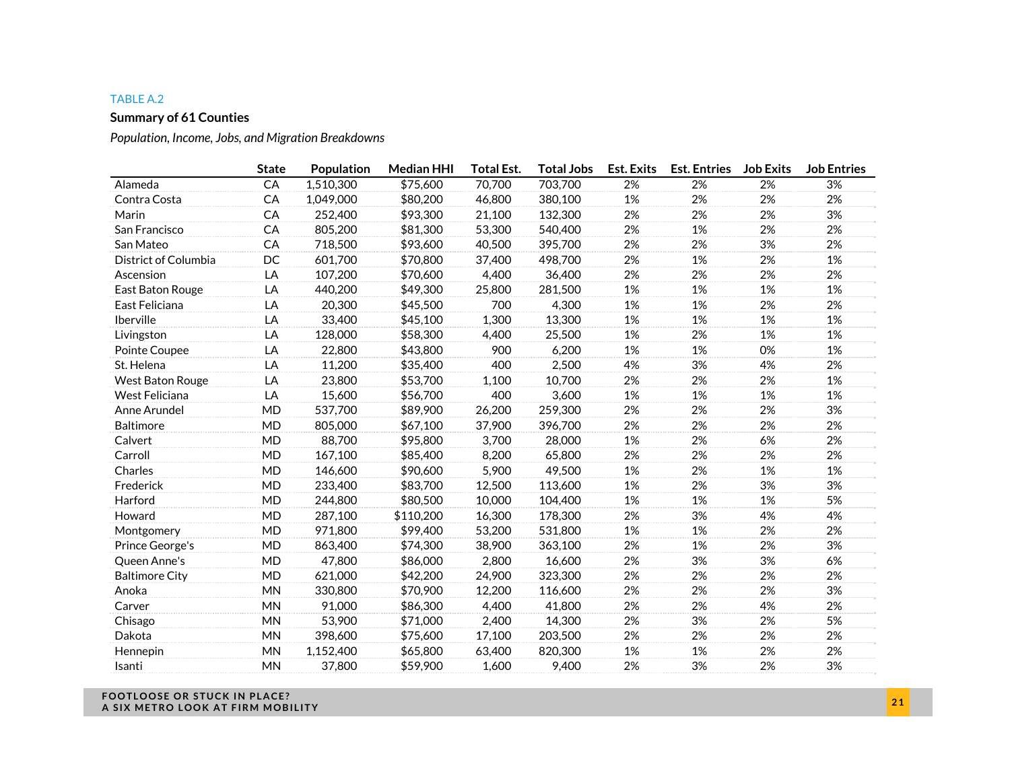#### TABLE A.2

#### **Summary of 61 Counties**

*Population, Income, Jobs, and Migration Breakdowns* 

|                       | <b>State</b> | Population | <b>Median HHI</b> | <b>Total Est.</b> | <b>Total Jobs</b> | <b>Est. Exits</b> | <b>Est. Entries</b> | <b>Job Exits</b> | <b>Job Entries</b> |
|-----------------------|--------------|------------|-------------------|-------------------|-------------------|-------------------|---------------------|------------------|--------------------|
| Alameda               | CA           | 1,510,300  | \$75,600          | 70,700            | 703,700           | 2%                | 2%                  | 2%               | 3%                 |
| Contra Costa          | CA           | 1,049,000  | \$80,200          | 46,800            | 380,100           | 1%                | 2%                  | 2%               | 2%                 |
| Marin                 | CA           | 252,400    | \$93,300          | 21,100            | 132,300           | 2%                | 2%                  | 2%               | 3%                 |
| San Francisco         | CA           | 805,200    | \$81,300          | 53,300            | 540,400           | 2%                | 1%                  | 2%               | 2%                 |
| San Mateo             | CA           | 718,500    | \$93,600          | 40,500            | 395,700           | 2%                | 2%                  | 3%               | 2%                 |
| District of Columbia  | DC           | 601,700    | \$70,800          | 37,400            | 498,700           | 2%                | 1%                  | 2%               | 1%                 |
| Ascension             | LA           | 107,200    | \$70,600          | 4,400             | 36,400            | 2%                | 2%                  | 2%               | 2%                 |
| East Baton Rouge      | LA           | 440,200    | \$49,300          | 25,800            | 281,500           | 1%                | 1%                  | 1%               | 1%                 |
| East Feliciana        | LA           | 20,300     | \$45,500          | 700               | 4,300             | 1%                | 1%                  | 2%               | 2%                 |
| Iberville             | LA           | 33,400     | \$45,100          | 1,300             | 13,300            | 1%                | 1%                  | 1%               | 1%                 |
| Livingston            | LA           | 128,000    | \$58,300          | 4,400             | 25,500            | 1%                | 2%                  | 1%               | 1%                 |
| Pointe Coupee         | LA           | 22,800     | \$43,800          | 900               | 6,200             | 1%                | 1%                  | 0%               | 1%                 |
| St. Helena            | LA           | 11,200     | \$35,400          | 400               | 2,500             | 4%                | 3%                  | 4%               | 2%                 |
| West Baton Rouge      | LA           | 23,800     | \$53,700          | 1,100             | 10,700            | 2%                | 2%                  | 2%               | 1%                 |
| West Feliciana        | LA           | 15,600     | \$56,700          | 400               | 3,600             | 1%                | 1%                  | 1%               | 1%                 |
| Anne Arundel          | <b>MD</b>    | 537,700    | \$89,900          | 26,200            | 259,300           | 2%                | 2%                  | 2%               | 3%                 |
| Baltimore             | <b>MD</b>    | 805,000    | \$67,100          | 37,900            | 396,700           | 2%                | 2%                  | 2%               | 2%                 |
| Calvert               | MD           | 88,700     | \$95,800          | 3,700             | 28,000            | 1%                | 2%                  | 6%               | 2%                 |
| Carroll               | MD           | 167,100    | \$85,400          | 8,200             | 65,800            | 2%                | 2%                  | 2%               | 2%                 |
| Charles               | <b>MD</b>    | 146,600    | \$90,600          | 5,900             | 49,500            | 1%                | 2%                  | 1%               | 1%                 |
| Frederick             | <b>MD</b>    | 233,400    | \$83,700          | 12,500            | 113,600           | 1%                | 2%                  | 3%               | 3%                 |
| Harford               | <b>MD</b>    | 244,800    | \$80,500          | 10,000            | 104,400           | 1%                | 1%                  | 1%               | 5%                 |
| Howard                | <b>MD</b>    | 287,100    | \$110,200         | 16,300            | 178,300           | 2%                | 3%                  | 4%               | 4%                 |
| Montgomery            | MD           | 971,800    | \$99,400          | 53,200            | 531,800           | 1%                | 1%                  | 2%               | 2%                 |
| Prince George's       | MD           | 863,400    | \$74,300          | 38,900            | 363,100           | 2%                | 1%                  | 2%               | 3%                 |
| Queen Anne's          | <b>MD</b>    | 47,800     | \$86,000          | 2,800             | 16,600            | 2%                | 3%                  | 3%               | 6%                 |
| <b>Baltimore City</b> | <b>MD</b>    | 621,000    | \$42,200          | 24,900            | 323,300           | 2%                | 2%                  | 2%               | 2%                 |
| Anoka                 | <b>MN</b>    | 330,800    | \$70,900          | 12,200            | 116,600           | 2%                | 2%                  | 2%               | 3%                 |
| Carver                | <b>MN</b>    | 91,000     | \$86,300          | 4,400             | 41,800            | 2%                | 2%                  | 4%               | 2%                 |
| Chisago               | <b>MN</b>    | 53,900     | \$71,000          | 2,400             | 14,300            | 2%                | 3%                  | 2%               | 5%                 |
| Dakota                | MN           | 398,600    | \$75,600          | 17,100            | 203,500           | 2%                | 2%                  | 2%               | 2%                 |
| Hennepin              | MN           | 1,152,400  | \$65,800          | 63,400            | 820,300           | 1%                | 1%                  | 2%               | 2%                 |
| Isanti                | <b>MN</b>    | 37,800     | \$59,900          | 1,600             | 9,400             | 2%                | 3%                  | 2%               | 3%                 |

**FOOTLOOSE OR STUCK IN PLACE? A SIX METRO LOOK AT FIRM MOBILITY <sup>2</sup> <sup>1</sup>**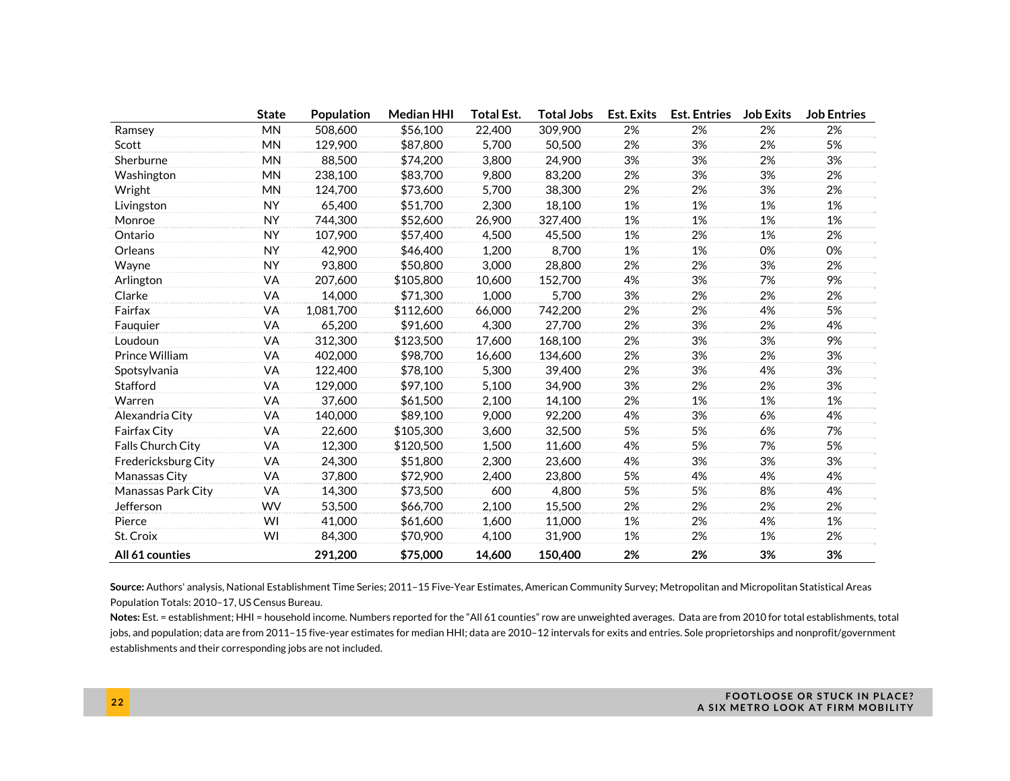|                     | <b>State</b> | Population | <b>Median HHI</b> | Total Est. | Total Jobs | <b>Est. Exits</b> | <b>Est. Entries</b> | <b>Job Exits</b> | <b>Job Entries</b> |
|---------------------|--------------|------------|-------------------|------------|------------|-------------------|---------------------|------------------|--------------------|
| Ramsey              | <b>MN</b>    | 508,600    | \$56,100          | 22,400     | 309,900    | 2%                | 2%                  | 2%               | 2%                 |
| Scott               | <b>MN</b>    | 129,900    | \$87,800          | 5,700      | 50,500     | 2%                | 3%                  | 2%               | 5%                 |
| Sherburne           | <b>MN</b>    | 88,500     | \$74,200          | 3,800      | 24,900     | 3%                | 3%                  | 2%               | 3%                 |
| Washington          | <b>MN</b>    | 238,100    | \$83,700          | 9,800      | 83,200     | 2%                | 3%                  | 3%               | 2%                 |
| Wright              | <b>MN</b>    | 124,700    | \$73,600          | 5,700      | 38,300     | 2%                | 2%                  | 3%               | 2%                 |
| Livingston          | <b>NY</b>    | 65,400     | \$51,700          | 2,300      | 18,100     | 1%                | 1%                  | 1%               | 1%                 |
| Monroe              | <b>NY</b>    | 744,300    | \$52,600          | 26,900     | 327,400    | 1%                | 1%                  | 1%               | 1%                 |
| Ontario             | <b>NY</b>    | 107,900    | \$57,400          | 4,500      | 45,500     | 1%                | 2%                  | 1%               | 2%                 |
| Orleans             | <b>NY</b>    | 42,900     | \$46,400          | 1,200      | 8,700      | 1%                | 1%                  | 0%               | 0%                 |
| Wayne               | <b>NY</b>    | 93,800     | \$50,800          | 3,000      | 28,800     | 2%                | 2%                  | 3%               | 2%                 |
| Arlington           | VA           | 207,600    | \$105,800         | 10,600     | 152,700    | 4%                | 3%                  | 7%               | 9%                 |
| Clarke              | VA           | 14,000     | \$71,300          | 1,000      | 5,700      | 3%                | 2%                  | 2%               | 2%                 |
| Fairfax             | VA           | 1,081,700  | \$112,600         | 66,000     | 742,200    | 2%                | 2%                  | 4%               | 5%                 |
| Fauquier            | VA           | 65,200     | \$91,600          | 4,300      | 27,700     | 2%                | 3%                  | 2%               | 4%                 |
| Loudoun             | VA           | 312,300    | \$123,500         | 17,600     | 168,100    | 2%                | 3%                  | 3%               | 9%                 |
| Prince William      | VA           | 402,000    | \$98,700          | 16,600     | 134,600    | 2%                | 3%                  | 2%               | 3%                 |
| Spotsylvania        | VA           | 122,400    | \$78,100          | 5,300      | 39,400     | 2%                | 3%                  | 4%               | 3%                 |
| Stafford            | VA           | 129,000    | \$97,100          | 5,100      | 34,900     | 3%                | 2%                  | 2%               | 3%                 |
| Warren              | VA           | 37,600     | \$61,500          | 2,100      | 14,100     | 2%                | 1%                  | 1%               | 1%                 |
| Alexandria City     | VA           | 140,000    | \$89,100          | 9,000      | 92,200     | 4%                | 3%                  | 6%               | 4%                 |
| Fairfax City        | VA           | 22,600     | \$105,300         | 3,600      | 32,500     | 5%                | 5%                  | 6%               | 7%                 |
| Falls Church City   | VA           | 12,300     | \$120,500         | 1,500      | 11,600     | 4%                | 5%                  | 7%               | 5%                 |
| Fredericksburg City | VA           | 24,300     | \$51,800          | 2,300      | 23,600     | 4%                | 3%                  | 3%               | 3%                 |
| Manassas City       | VA           | 37,800     | \$72,900          | 2,400      | 23,800     | 5%                | 4%                  | 4%               | 4%                 |
| Manassas Park City  | VA           | 14,300     | \$73,500          | 600        | 4,800      | 5%                | 5%                  | 8%               | 4%                 |
| Jefferson           | <b>WV</b>    | 53,500     | \$66,700          | 2,100      | 15,500     | 2%                | 2%                  | 2%               | 2%                 |
| Pierce              | WI           | 41,000     | \$61,600          | 1,600      | 11,000     | 1%                | 2%                  | 4%               | 1%                 |
| St. Croix           | WI           | 84,300     | \$70,900          | 4,100      | 31,900     | 1%                | 2%                  | 1%               | 2%                 |
| All 61 counties     |              | 291,200    | \$75,000          | 14.600     | 150,400    | 2%                | 2%                  | 3%               | 3%                 |

**Source:** Authors' analysis, National Establishment Time Series; 2011–15 Five-Year Estimates, American Community Survey; Metropolitan and Micropolitan Statistical Areas Population Totals: 2010–17, US Census Bureau.

**Notes:** Est. = establishment; HHI = household income. Numbers reported for the "All 61 counties" row are unweighted averages. Data are from 2010 for total establishments, total jobs, and population; data are from 2011-15 five-year estimates for median HHI; data are 2010-12 intervals for exits and entries. Sole proprietorships and nonprofit/government establishments and their corresponding jobs are not included.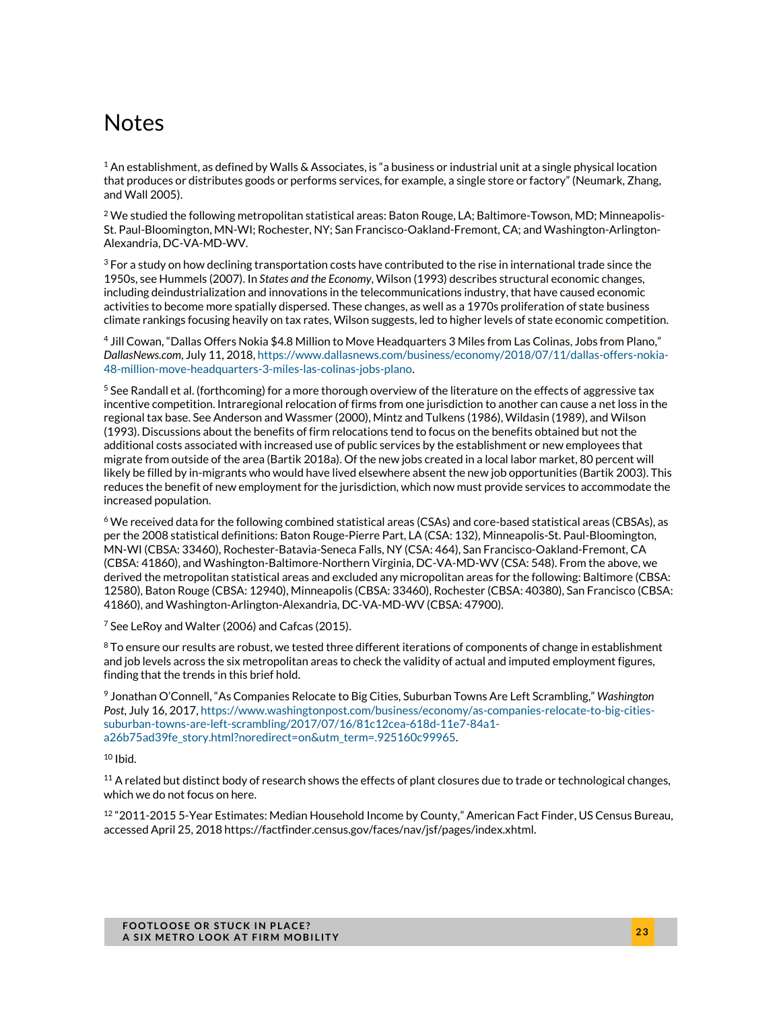### Notes

 $1$  An establishment, as defined by Walls & Associates, is "a business or industrial unit at a single physical location that produces or distributes goods or performs services, for example, a single store or factory" (Neumark, Zhang, and Wall 2005).

 $^2$  We studied the following metropolitan statistical areas: Baton Rouge, LA; Baltimore-Towson, MD; Minneapolis-St. Paul-Bloomington, MN-WI; Rochester, NY; San Francisco-Oakland-Fremont, CA; and Washington-Arlington-Alexandria, DC-VA-MD-WV.

 $3$  For a study on how declining transportation costs have contributed to the rise in international trade since the 1950s, see Hummels (2007). In *States and the Economy*, Wilson (1993) describes structural economic changes, including deindustrialization and innovations in the telecommunications industry, that have caused economic activities to become more spatially dispersed. These changes, as well as a 1970s proliferation of state business climate rankings focusing heavily on tax rates, Wilson suggests, led to higher levels of state economic competition.

4 Jill Cowan, "Dallas Offers Nokia \$4.8 Million to Move Headquarters 3 Miles from Las Colinas, Jobs from Plano," *DallasNews.com*, July 11, 2018, https://www.dallasnews.com/business/economy/2018/07/11/dallas-offers-nokia-48-million-move-headquarters-3-miles-las-colinas-jobs-plano.

 $^5$  See Randall et al. (forthcoming) for a more thorough overview of the literature on the effects of aggressive tax incentive competition. Intraregional relocation of firms from one jurisdiction to another can cause a net loss in the regional tax base. See Anderson and Wassmer (2000), Mintz and Tulkens (1986), Wildasin (1989), and Wilson (1993). Discussions about the benefits of firm relocations tend to focus on the benefits obtained but not the additional costs associated with increased use of public services by the establishment or new employees that migrate from outside of the area (Bartik 2018a). Of the new jobs created in a local labor market, 80 percent will likely be filled by in-migrants who would have lived elsewhere absent the new job opportunities (Bartik 2003). This reduces the benefit of new employment for the jurisdiction, which now must provide services to accommodate the increased population.

6 We received data for the following combined statistical areas (CSAs) and core-based statistical areas (CBSAs), as per the 2008 statistical definitions: Baton Rouge-Pierre Part, LA (CSA: 132), Minneapolis-St. Paul-Bloomington, MN-WI (CBSA: 33460), Rochester-Batavia-Seneca Falls, NY (CSA: 464), San Francisco-Oakland-Fremont, CA (CBSA: 41860), and Washington-Baltimore-Northern Virginia, DC-VA-MD-WV (CSA: 548). From the above, we derived the metropolitan statistical areas and excluded any micropolitan areas for the following: Baltimore (CBSA: 12580), Baton Rouge (CBSA: 12940), Minneapolis (CBSA: 33460), Rochester (CBSA: 40380), San Francisco (CBSA: 41860), and Washington-Arlington-Alexandria, DC-VA-MD-WV (CBSA: 47900).

 $7$  See LeRoy and Walter (2006) and Cafcas (2015).

 $8$  To ensure our results are robust, we tested three different iterations of components of change in establishment and job levels across the six metropolitan areas to check the validity of actual and imputed employment figures, finding that the trends in this brief hold.

9 Jonathan O'Connell, "As Companies Relocate to Big Cities, Suburban Towns Are Left Scrambling," *Washington Post*, July 16, 2017, https://www.washingtonpost.com/business/economy/as-companies-relocate-to-big-citiessuburban-towns-are-left-scrambling/2017/07/16/81c12cea-618d-11e7-84a1 a26b75ad39fe\_story.html?noredirect=on&utm\_term=.925160c99965.

 $10$  Ibid.

 $11$  A related but distinct body of research shows the effects of plant closures due to trade or technological changes, which we do not focus on here.

 $12$  "2011-2015 5-Year Estimates: Median Household Income by County," American Fact Finder, US Census Bureau, accessed April 25, 2018 https://factfinder.census.gov/faces/nav/jsf/pages/index.xhtml.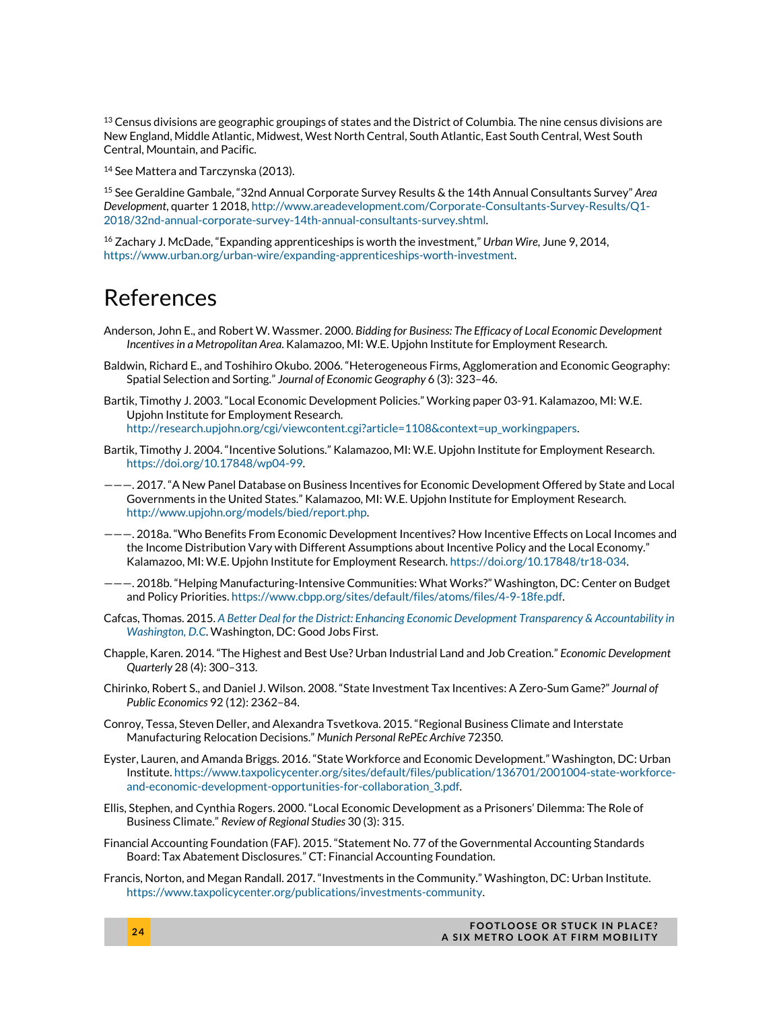$^{13}$  Census divisions are geographic groupings of states and the District of Columbia. The nine census divisions are New England, Middle Atlantic, Midwest, West North Central, South Atlantic, East South Central, West South Central, Mountain, and Pacific.

<sup>14</sup> See Mattera and Tarczynska (2013).

15 See Geraldine Gambale, "32nd Annual Corporate Survey Results & the 14th Annual Consultants Survey" *Area Development*, quarter 1 2018, http://www.areadevelopment.com/Corporate-Consultants-Survey-Results/Q1- 2018/32nd-annual-corporate-survey-14th-annual-consultants-survey.shtml.

16 Zachary J. McDade, "Expanding apprenticeships is worth the investment," *Urban Wire,* June 9, 2014, https://www.urban.org/urban-wire/expanding-apprenticeships-worth-investment.

### References

- Anderson, John E., and Robert W. Wassmer. 2000. *Bidding for Business: The Efficacy of Local Economic Development Incentives in a Metropolitan Area*. Kalamazoo, MI: W.E. Upjohn Institute for Employment Research.
- Baldwin, Richard E., and Toshihiro Okubo. 2006. "Heterogeneous Firms, Agglomeration and Economic Geography: Spatial Selection and Sorting." *Journal of Economic Geography* 6 (3): 323–46.
- Bartik, Timothy J. 2003. "Local Economic Development Policies." Working paper 03-91. Kalamazoo, MI: W.E. Upjohn Institute for Employment Research. http://research.upjohn.org/cgi/viewcontent.cgi?article=1108&context=up\_workingpapers.
- Bartik, Timothy J. 2004. "Incentive Solutions." Kalamazoo, MI: W.E. Upjohn Institute for Employment Research. https://doi.org/10.17848/wp04-99.
- ———. 2017. "A New Panel Database on Business Incentives for Economic Development Offered by State and Local Governments in the United States." Kalamazoo, MI: W.E. Upjohn Institute for Employment Research. http://www.upjohn.org/models/bied/report.php.
- ———. 2018a. "Who Benefits From Economic Development Incentives? How Incentive Effects on Local Incomes and the Income Distribution Vary with Different Assumptions about Incentive Policy and the Local Economy." Kalamazoo, MI: W.E. Upjohn Institute for Employment Research. https://doi.org/10.17848/tr18-034.
- ———. 2018b. "Helping Manufacturing-Intensive Communities: What Works?" Washington, DC: Center on Budget and Policy Priorities. https://www.cbpp.org/sites/default/files/atoms/files/4-9-18fe.pdf.
- Cafcas, Thomas. 2015. *A Better Deal for the District: Enhancing Economic Development Transparency & Accountability in Washington, D.C*. Washington, DC: Good Jobs First.
- Chapple, Karen. 2014. "The Highest and Best Use? Urban Industrial Land and Job Creation." *Economic Development Quarterly* 28 (4): 300–313.
- Chirinko, Robert S., and Daniel J. Wilson. 2008. "State Investment Tax Incentives: A Zero-Sum Game?" *Journal of Public Economics* 92 (12): 2362–84.
- Conroy, Tessa, Steven Deller, and Alexandra Tsvetkova. 2015. "Regional Business Climate and Interstate Manufacturing Relocation Decisions." *Munich Personal RePEc Archive* 72350.
- Eyster, Lauren, and Amanda Briggs. 2016. "State Workforce and Economic Development." Washington, DC: Urban Institute. https://www.taxpolicycenter.org/sites/default/files/publication/136701/2001004-state-workforceand-economic-development-opportunities-for-collaboration\_3.pdf.
- Ellis, Stephen, and Cynthia Rogers. 2000. "Local Economic Development as a Prisoners' Dilemma: The Role of Business Climate." *Review of Regional Studies* 30 (3): 315.
- Financial Accounting Foundation (FAF). 2015. "Statement No. 77 of the Governmental Accounting Standards Board: Tax Abatement Disclosures." CT: Financial Accounting Foundation.
- Francis, Norton, and Megan Randall. 2017. "Investments in the Community." Washington, DC: Urban Institute. https://www.taxpolicycenter.org/publications/investments-community.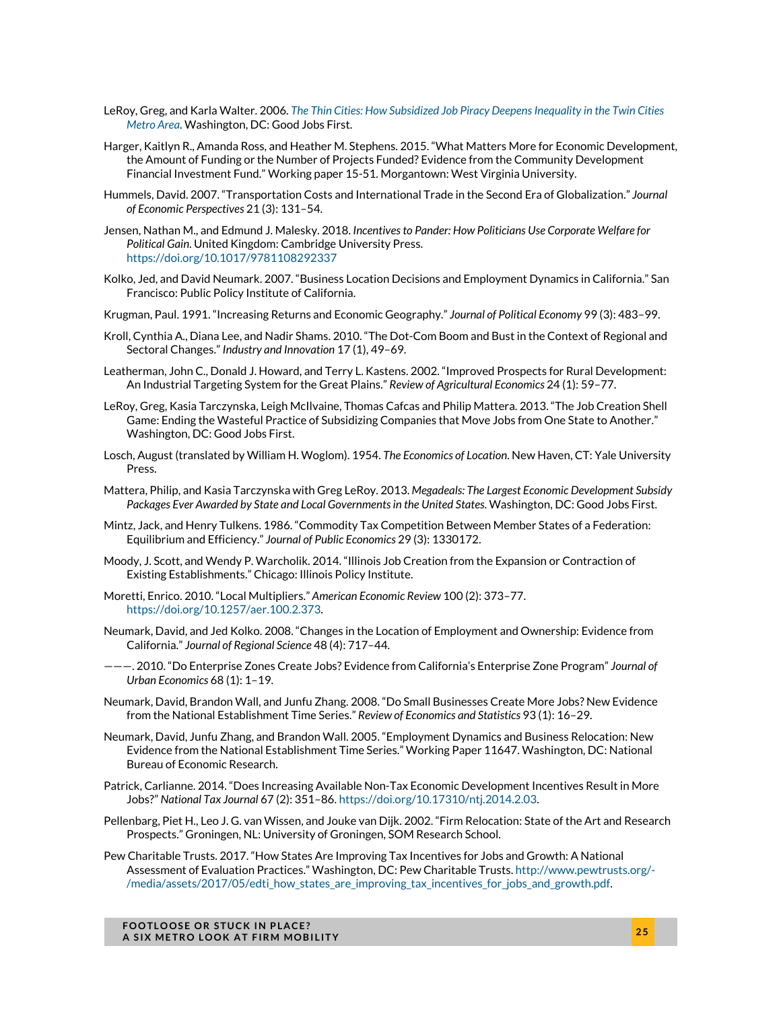- LeRoy, Greg, and Karla Walter. 2006. *The Thin Cities: How Subsidized Job Piracy Deepens Inequality in the Twin Cities Metro Area*. Washington, DC: Good Jobs First.
- Harger, Kaitlyn R., Amanda Ross, and Heather M. Stephens. 2015. "What Matters More for Economic Development, the Amount of Funding or the Number of Projects Funded? Evidence from the Community Development Financial Investment Fund." Working paper 15-51. Morgantown: West Virginia University.
- Hummels, David. 2007. "Transportation Costs and International Trade in the Second Era of Globalization." *Journal of Economic Perspectives* 21 (3): 131–54.
- Jensen, Nathan M., and Edmund J. Malesky. 2018. *Incentives to Pander: How Politicians Use Corporate Welfare for Political Gain*. United Kingdom: Cambridge University Press. https://doi.org/10.1017/9781108292337
- Kolko, Jed, and David Neumark. 2007. "Business Location Decisions and Employment Dynamics in California." San Francisco: Public Policy Institute of California.
- Krugman, Paul. 1991. "Increasing Returns and Economic Geography." *Journal of Political Economy* 99 (3): 483–99.
- Kroll, Cynthia A., Diana Lee, and Nadir Shams. 2010. "The Dot-Com Boom and Bust in the Context of Regional and Sectoral Changes." *Industry and Innovation* 17 (1), 49–69.
- Leatherman, John C., Donald J. Howard, and Terry L. Kastens. 2002. "Improved Prospects for Rural Development: An Industrial Targeting System for the Great Plains." *Review of Agricultural Economics* 24 (1): 59–77.
- LeRoy, Greg, Kasia Tarczynska, Leigh McIlvaine, Thomas Cafcas and Philip Mattera. 2013. "The Job Creation Shell Game: Ending the Wasteful Practice of Subsidizing Companies that Move Jobs from One State to Another." Washington, DC: Good Jobs First.
- Losch, August (translated by William H. Woglom). 1954. *The Economics of Location*. New Haven, CT: Yale University Press.
- Mattera, Philip, and Kasia Tarczynska with Greg LeRoy. 2013. *Megadeals: The Largest Economic Development Subsidy Packages Ever Awarded by State and Local Governments in the United States*. Washington, DC: Good Jobs First.
- Mintz, Jack, and Henry Tulkens. 1986. "Commodity Tax Competition Between Member States of a Federation: Equilibrium and Efficiency." *Journal of Public Economics* 29 (3): 1330172.
- Moody, J. Scott, and Wendy P. Warcholik. 2014. "Illinois Job Creation from the Expansion or Contraction of Existing Establishments." Chicago: Illinois Policy Institute.
- Moretti, Enrico. 2010. "Local Multipliers." *American Economic Review* 100 (2): 373–77. https://doi.org/10.1257/aer.100.2.373.
- Neumark, David, and Jed Kolko. 2008. "Changes in the Location of Employment and Ownership: Evidence from California." *Journal of Regional Science* 48 (4): 717–44.
- ———. 2010. "Do Enterprise Zones Create Jobs? Evidence from California's Enterprise Zone Program" *Journal of Urban Economics* 68 (1): 1–19.
- Neumark, David, Brandon Wall, and Junfu Zhang. 2008. "Do Small Businesses Create More Jobs? New Evidence from the National Establishment Time Series." *Review of Economics and Statistics* 93 (1): 16–29.
- Neumark, David, Junfu Zhang, and Brandon Wall. 2005. "Employment Dynamics and Business Relocation: New Evidence from the National Establishment Time Series." Working Paper 11647. Washington, DC: National Bureau of Economic Research.
- Patrick, Carlianne. 2014. "Does Increasing Available Non-Tax Economic Development Incentives Result in More Jobs?" *National Tax Journal* 67 (2): 351–86. https://doi.org/10.17310/ntj.2014.2.03.
- Pellenbarg, Piet H., Leo J. G. van Wissen, and Jouke van Dijk. 2002. "Firm Relocation: State of the Art and Research Prospects." Groningen, NL: University of Groningen, SOM Research School.
- Pew Charitable Trusts. 2017. "How States Are Improving Tax Incentives for Jobs and Growth: A National Assessment of Evaluation Practices." Washington, DC: Pew Charitable Trusts. http://www.pewtrusts.org/- /media/assets/2017/05/edti\_how\_states\_are\_improving\_tax\_incentives\_for\_jobs\_and\_growth.pdf.

**FOOTLOOSE OR STUCK IN PLACE? A SIX METRO LOOK AT FIRM MOBILITY 2 5**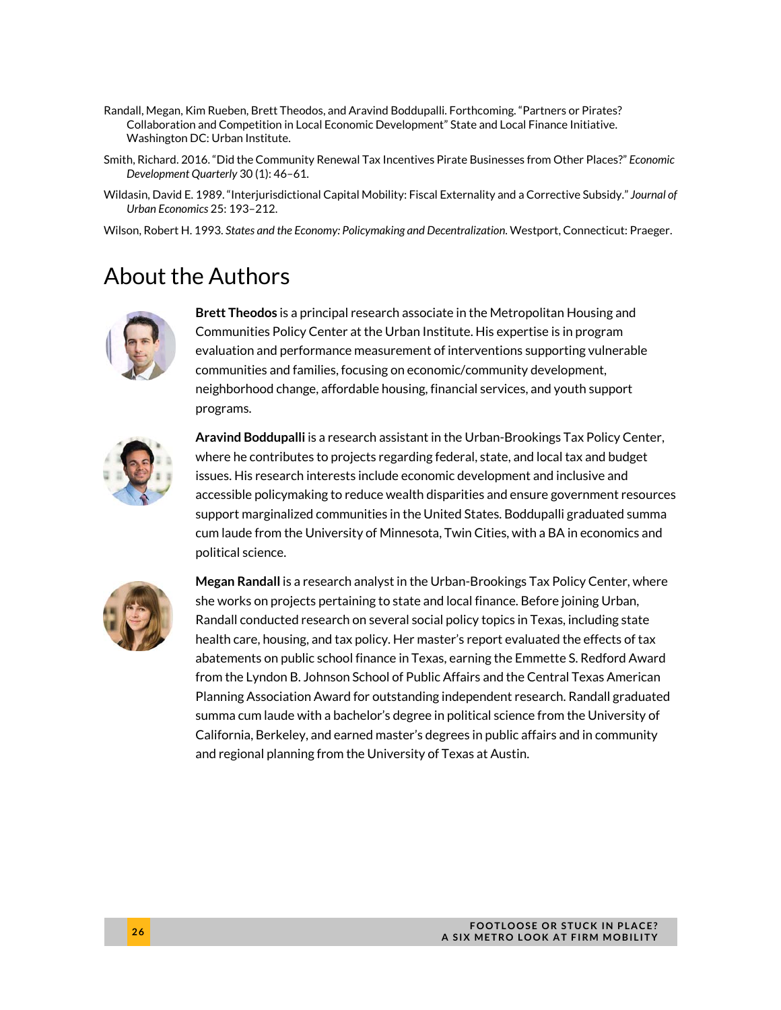- Randall, Megan, Kim Rueben, Brett Theodos, and Aravind Boddupalli. Forthcoming. "Partners or Pirates? Collaboration and Competition in Local Economic Development" State and Local Finance Initiative. Washington DC: Urban Institute.
- Smith, Richard. 2016. "Did the Community Renewal Tax Incentives Pirate Businesses from Other Places?" *Economic Development Quarterly* 30 (1): 46–61.
- Wildasin, David E. 1989. "Interjurisdictional Capital Mobility: Fiscal Externality and a Corrective Subsidy." *Journal of Urban Economics* 25: 193–212.
- Wilson, Robert H. 1993. *States and the Economy: Policymaking and Decentralization*. Westport, Connecticut: Praeger.

### About the Authors



**Brett Theodos** is a principal research associate in the Metropolitan Housing and Communities Policy Center at the Urban Institute. His expertise is in program evaluation and performance measurement of interventions supporting vulnerable communities and families, focusing on economic/community development, neighborhood change, affordable housing, financial services, and youth support programs.



**Aravind Boddupalli** is a research assistant in the Urban-Brookings Tax Policy Center, where he contributes to projects regarding federal, state, and local tax and budget issues. His research interests include economic development and inclusive and accessible policymaking to reduce wealth disparities and ensure government resources support marginalized communities in the United States. Boddupalli graduated summa cum laude from the University of Minnesota, Twin Cities, with a BA in economics and political science.



**Megan Randall** is a research analyst in the Urban-Brookings Tax Policy Center, where she works on projects pertaining to state and local finance. Before joining Urban, Randall conducted research on several social policy topics in Texas, including state health care, housing, and tax policy. Her master's report evaluated the effects of tax abatements on public school finance in Texas, earning the Emmette S. Redford Award from the Lyndon B. Johnson School of Public Affairs and the Central Texas American Planning Association Award for outstanding independent research. Randall graduated summa cum laude with a bachelor's degree in political science from the University of California, Berkeley, and earned master's degrees in public affairs and in community and regional planning from the University of Texas at Austin.